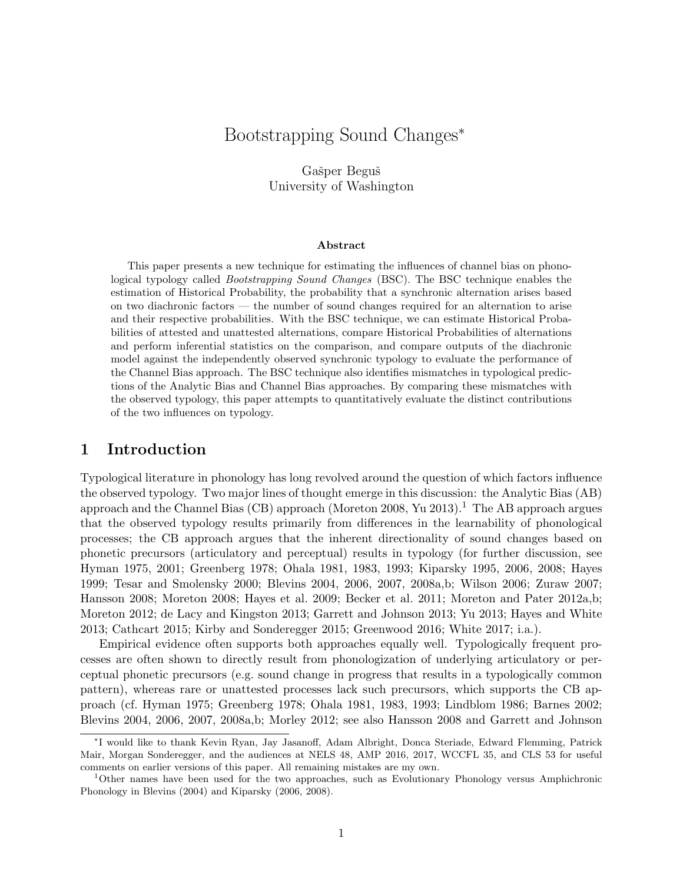# Bootstrapping Sound Changes<sup>∗</sup>

Gašper Beguš University of Washington

#### Abstract

This paper presents a new technique for estimating the influences of channel bias on phonological typology called Bootstrapping Sound Changes (BSC). The BSC technique enables the estimation of Historical Probability, the probability that a synchronic alternation arises based on two diachronic factors — the number of sound changes required for an alternation to arise and their respective probabilities. With the BSC technique, we can estimate Historical Probabilities of attested and unattested alternations, compare Historical Probabilities of alternations and perform inferential statistics on the comparison, and compare outputs of the diachronic model against the independently observed synchronic typology to evaluate the performance of the Channel Bias approach. The BSC technique also identifies mismatches in typological predictions of the Analytic Bias and Channel Bias approaches. By comparing these mismatches with the observed typology, this paper attempts to quantitatively evaluate the distinct contributions of the two influences on typology.

## 1 Introduction

Typological literature in phonology has long revolved around the question of which factors influence the observed typology. Two major lines of thought emerge in this discussion: the Analytic Bias (AB) approach and the Channel Bias (CB) approach (Moreton 2008, Yu 20[1](#page-0-0)3).<sup>1</sup> The AB approach argues that the observed typology results primarily from differences in the learnability of phonological processes; the CB approach argues that the inherent directionality of sound changes based on phonetic precursors (articulatory and perceptual) results in typology (for further discussion, see Hyman 1975, 2001; Greenberg 1978; Ohala 1981, 1983, 1993; Kiparsky 1995, 2006, 2008; Hayes 1999; Tesar and Smolensky 2000; Blevins 2004, 2006, 2007, 2008a,b; Wilson 2006; Zuraw 2007; Hansson 2008; Moreton 2008; Hayes et al. 2009; Becker et al. 2011; Moreton and Pater 2012a,b; Moreton 2012; de Lacy and Kingston 2013; Garrett and Johnson 2013; Yu 2013; Hayes and White 2013; Cathcart 2015; Kirby and Sonderegger 2015; Greenwood 2016; White 2017; i.a.).

Empirical evidence often supports both approaches equally well. Typologically frequent processes are often shown to directly result from phonologization of underlying articulatory or perceptual phonetic precursors (e.g. sound change in progress that results in a typologically common pattern), whereas rare or unattested processes lack such precursors, which supports the CB approach (cf. Hyman 1975; Greenberg 1978; Ohala 1981, 1983, 1993; Lindblom 1986; Barnes 2002; Blevins 2004, 2006, 2007, 2008a,b; Morley 2012; see also Hansson 2008 and Garrett and Johnson

<sup>∗</sup> I would like to thank Kevin Ryan, Jay Jasanoff, Adam Albright, Donca Steriade, Edward Flemming, Patrick Mair, Morgan Sonderegger, and the audiences at NELS 48, AMP 2016, 2017, WCCFL 35, and CLS 53 for useful comments on earlier versions of this paper. All remaining mistakes are my own.

<span id="page-0-0"></span><sup>1</sup>Other names have been used for the two approaches, such as Evolutionary Phonology versus Amphichronic Phonology in Blevins (2004) and Kiparsky (2006, 2008).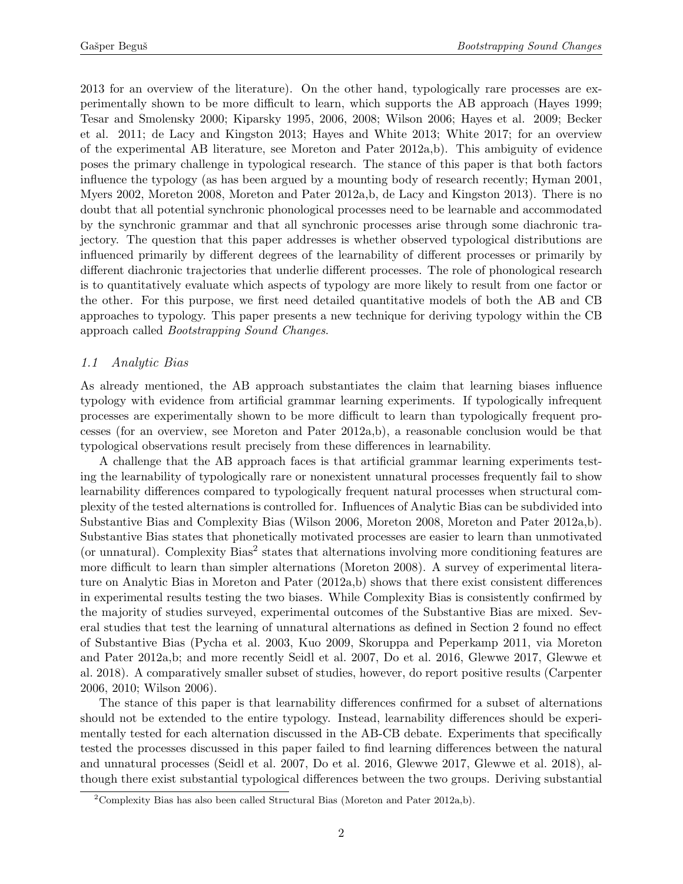2013 for an overview of the literature). On the other hand, typologically rare processes are experimentally shown to be more difficult to learn, which supports the AB approach (Hayes 1999; Tesar and Smolensky 2000; Kiparsky 1995, 2006, 2008; Wilson 2006; Hayes et al. 2009; Becker et al. 2011; de Lacy and Kingston 2013; Hayes and White 2013; White 2017; for an overview of the experimental AB literature, see Moreton and Pater 2012a,b). This ambiguity of evidence poses the primary challenge in typological research. The stance of this paper is that both factors influence the typology (as has been argued by a mounting body of research recently; Hyman 2001, Myers 2002, Moreton 2008, Moreton and Pater 2012a, b, de Lacy and Kingston 2013). There is no doubt that all potential synchronic phonological processes need to be learnable and accommodated by the synchronic grammar and that all synchronic processes arise through some diachronic trajectory. The question that this paper addresses is whether observed typological distributions are influenced primarily by different degrees of the learnability of different processes or primarily by different diachronic trajectories that underlie different processes. The role of phonological research is to quantitatively evaluate which aspects of typology are more likely to result from one factor or the other. For this purpose, we first need detailed quantitative models of both the AB and CB approaches to typology. This paper presents a new technique for deriving typology within the CB approach called Bootstrapping Sound Changes.

### 1.1 Analytic Bias

As already mentioned, the AB approach substantiates the claim that learning biases influence typology with evidence from artificial grammar learning experiments. If typologically infrequent processes are experimentally shown to be more difficult to learn than typologically frequent processes (for an overview, see Moreton and Pater 2012a,b), a reasonable conclusion would be that typological observations result precisely from these differences in learnability.

A challenge that the AB approach faces is that artificial grammar learning experiments testing the learnability of typologically rare or nonexistent unnatural processes frequently fail to show learnability differences compared to typologically frequent natural processes when structural complexity of the tested alternations is controlled for. Influences of Analytic Bias can be subdivided into Substantive Bias and Complexity Bias (Wilson 2006, Moreton 2008, Moreton and Pater 2012a,b). Substantive Bias states that phonetically motivated processes are easier to learn than unmotivated (or unnatural). Complexity Bias<sup>[2](#page-1-0)</sup> states that alternations involving more conditioning features are more difficult to learn than simpler alternations (Moreton 2008). A survey of experimental literature on Analytic Bias in Moreton and Pater (2012a,b) shows that there exist consistent differences in experimental results testing the two biases. While Complexity Bias is consistently confirmed by the majority of studies surveyed, experimental outcomes of the Substantive Bias are mixed. Several studies that test the learning of unnatural alternations as defined in Section [2](#page-5-0) found no effect of Substantive Bias (Pycha et al. 2003, Kuo 2009, Skoruppa and Peperkamp 2011, via Moreton and Pater 2012a,b; and more recently Seidl et al. 2007, Do et al. 2016, Glewwe 2017, Glewwe et al. 2018). A comparatively smaller subset of studies, however, do report positive results (Carpenter 2006, 2010; Wilson 2006).

The stance of this paper is that learnability differences confirmed for a subset of alternations should not be extended to the entire typology. Instead, learnability differences should be experimentally tested for each alternation discussed in the AB-CB debate. Experiments that specifically tested the processes discussed in this paper failed to find learning differences between the natural and unnatural processes (Seidl et al. 2007, Do et al. 2016, Glewwe 2017, Glewwe et al. 2018), although there exist substantial typological differences between the two groups. Deriving substantial

<span id="page-1-0"></span><sup>&</sup>lt;sup>2</sup>Complexity Bias has also been called Structural Bias (Moreton and Pater 2012a,b).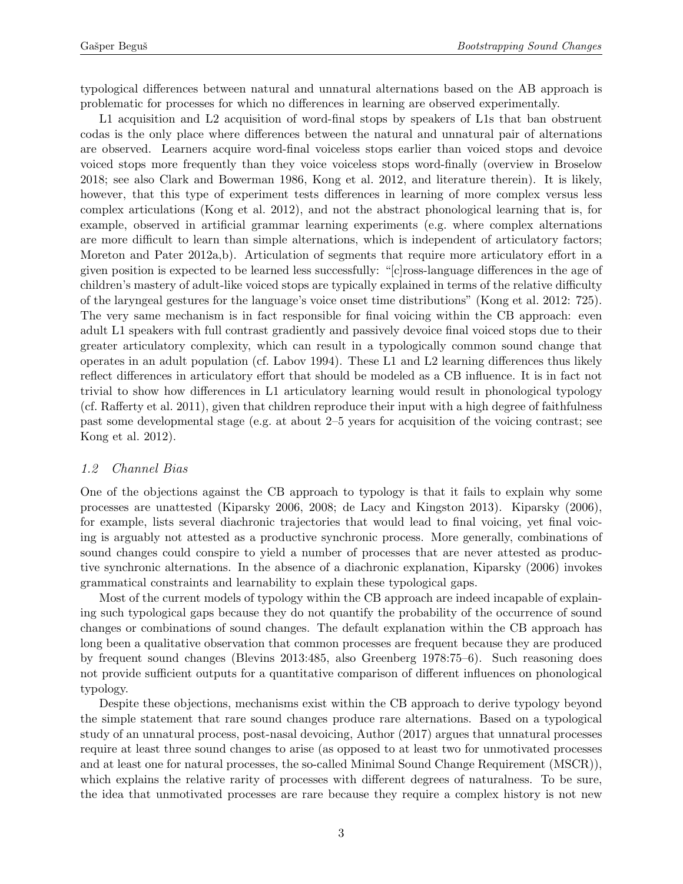typological differences between natural and unnatural alternations based on the AB approach is problematic for processes for which no differences in learning are observed experimentally.

L1 acquisition and L2 acquisition of word-final stops by speakers of L1s that ban obstruent codas is the only place where differences between the natural and unnatural pair of alternations are observed. Learners acquire word-final voiceless stops earlier than voiced stops and devoice voiced stops more frequently than they voice voiceless stops word-finally (overview in Broselow 2018; see also Clark and Bowerman 1986, Kong et al. 2012, and literature therein). It is likely, however, that this type of experiment tests differences in learning of more complex versus less complex articulations (Kong et al. 2012), and not the abstract phonological learning that is, for example, observed in artificial grammar learning experiments (e.g. where complex alternations are more difficult to learn than simple alternations, which is independent of articulatory factors; Moreton and Pater 2012a,b). Articulation of segments that require more articulatory effort in a given position is expected to be learned less successfully: "[c]ross-language differences in the age of children's mastery of adult-like voiced stops are typically explained in terms of the relative difficulty of the laryngeal gestures for the language's voice onset time distributions" (Kong et al. 2012: 725). The very same mechanism is in fact responsible for final voicing within the CB approach: even adult L1 speakers with full contrast gradiently and passively devoice final voiced stops due to their greater articulatory complexity, which can result in a typologically common sound change that operates in an adult population (cf. Labov 1994). These L1 and L2 learning differences thus likely reflect differences in articulatory effort that should be modeled as a CB influence. It is in fact not trivial to show how differences in L1 articulatory learning would result in phonological typology (cf. Rafferty et al. 2011), given that children reproduce their input with a high degree of faithfulness past some developmental stage (e.g. at about 2–5 years for acquisition of the voicing contrast; see Kong et al. 2012).

### <span id="page-2-0"></span>1.2 Channel Bias

One of the objections against the CB approach to typology is that it fails to explain why some processes are unattested (Kiparsky 2006, 2008; de Lacy and Kingston 2013). Kiparsky (2006), for example, lists several diachronic trajectories that would lead to final voicing, yet final voicing is arguably not attested as a productive synchronic process. More generally, combinations of sound changes could conspire to yield a number of processes that are never attested as productive synchronic alternations. In the absence of a diachronic explanation, Kiparsky (2006) invokes grammatical constraints and learnability to explain these typological gaps.

Most of the current models of typology within the CB approach are indeed incapable of explaining such typological gaps because they do not quantify the probability of the occurrence of sound changes or combinations of sound changes. The default explanation within the CB approach has long been a qualitative observation that common processes are frequent because they are produced by frequent sound changes (Blevins 2013:485, also Greenberg 1978:75–6). Such reasoning does not provide sufficient outputs for a quantitative comparison of different influences on phonological typology.

Despite these objections, mechanisms exist within the CB approach to derive typology beyond the simple statement that rare sound changes produce rare alternations. Based on a typological study of an unnatural process, post-nasal devoicing, Author (2017) argues that unnatural processes require at least three sound changes to arise (as opposed to at least two for unmotivated processes and at least one for natural processes, the so-called Minimal Sound Change Requirement (MSCR)), which explains the relative rarity of processes with different degrees of naturalness. To be sure, the idea that unmotivated processes are rare because they require a complex history is not new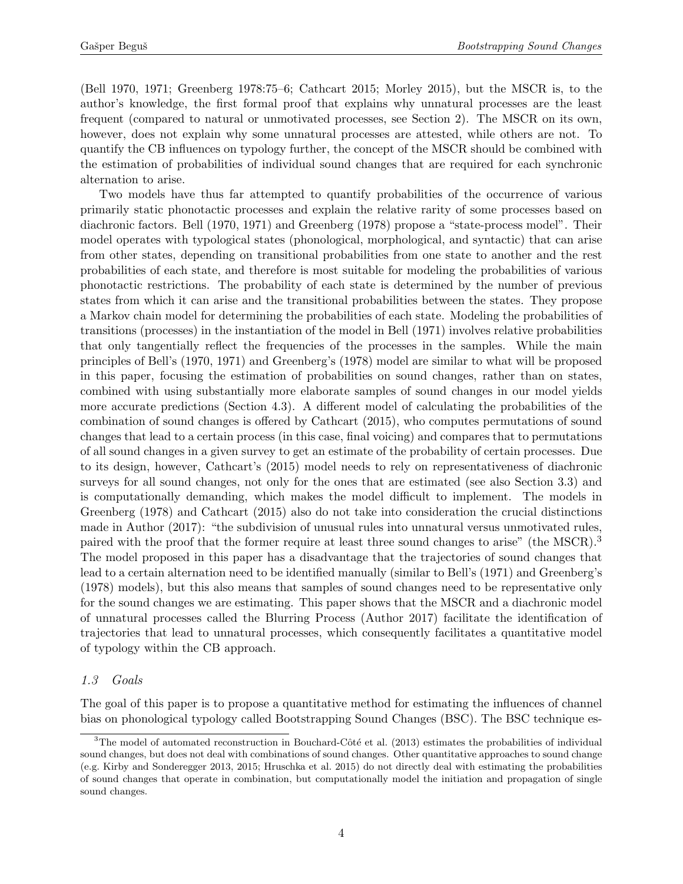(Bell 1970, 1971; Greenberg 1978:75–6; Cathcart 2015; Morley 2015), but the MSCR is, to the author's knowledge, the first formal proof that explains why unnatural processes are the least frequent (compared to natural or unmotivated processes, see Section [2\)](#page-5-0). The MSCR on its own, however, does not explain why some unnatural processes are attested, while others are not. To quantify the CB influences on typology further, the concept of the MSCR should be combined with the estimation of probabilities of individual sound changes that are required for each synchronic alternation to arise.

Two models have thus far attempted to quantify probabilities of the occurrence of various primarily static phonotactic processes and explain the relative rarity of some processes based on diachronic factors. Bell (1970, 1971) and Greenberg (1978) propose a "state-process model". Their model operates with typological states (phonological, morphological, and syntactic) that can arise from other states, depending on transitional probabilities from one state to another and the rest probabilities of each state, and therefore is most suitable for modeling the probabilities of various phonotactic restrictions. The probability of each state is determined by the number of previous states from which it can arise and the transitional probabilities between the states. They propose a Markov chain model for determining the probabilities of each state. Modeling the probabilities of transitions (processes) in the instantiation of the model in Bell (1971) involves relative probabilities that only tangentially reflect the frequencies of the processes in the samples. While the main principles of Bell's (1970, 1971) and Greenberg's (1978) model are similar to what will be proposed in this paper, focusing the estimation of probabilities on sound changes, rather than on states, combined with using substantially more elaborate samples of sound changes in our model yields more accurate predictions (Section [4.3\)](#page-21-0). A different model of calculating the probabilities of the combination of sound changes is offered by Cathcart (2015), who computes permutations of sound changes that lead to a certain process (in this case, final voicing) and compares that to permutations of all sound changes in a given survey to get an estimate of the probability of certain processes. Due to its design, however, Cathcart's (2015) model needs to rely on representativeness of diachronic surveys for all sound changes, not only for the ones that are estimated (see also Section [3.3\)](#page-11-0) and is computationally demanding, which makes the model difficult to implement. The models in Greenberg (1978) and Cathcart (2015) also do not take into consideration the crucial distinctions made in Author (2017): "the subdivision of unusual rules into unnatural versus unmotivated rules, paired with the proof that the former require at least three sound changes to arise" (the MSCR).<sup>[3](#page-3-0)</sup> The model proposed in this paper has a disadvantage that the trajectories of sound changes that lead to a certain alternation need to be identified manually (similar to Bell's (1971) and Greenberg's (1978) models), but this also means that samples of sound changes need to be representative only for the sound changes we are estimating. This paper shows that the MSCR and a diachronic model of unnatural processes called the Blurring Process (Author 2017) facilitate the identification of trajectories that lead to unnatural processes, which consequently facilitates a quantitative model of typology within the CB approach.

### 1.3 Goals

The goal of this paper is to propose a quantitative method for estimating the influences of channel bias on phonological typology called Bootstrapping Sound Changes (BSC). The BSC technique es-

<span id="page-3-0"></span> $3$ The model of automated reconstruction in Bouchard-Côté et al. (2013) estimates the probabilities of individual sound changes, but does not deal with combinations of sound changes. Other quantitative approaches to sound change (e.g. Kirby and Sonderegger 2013, 2015; Hruschka et al. 2015) do not directly deal with estimating the probabilities of sound changes that operate in combination, but computationally model the initiation and propagation of single sound changes.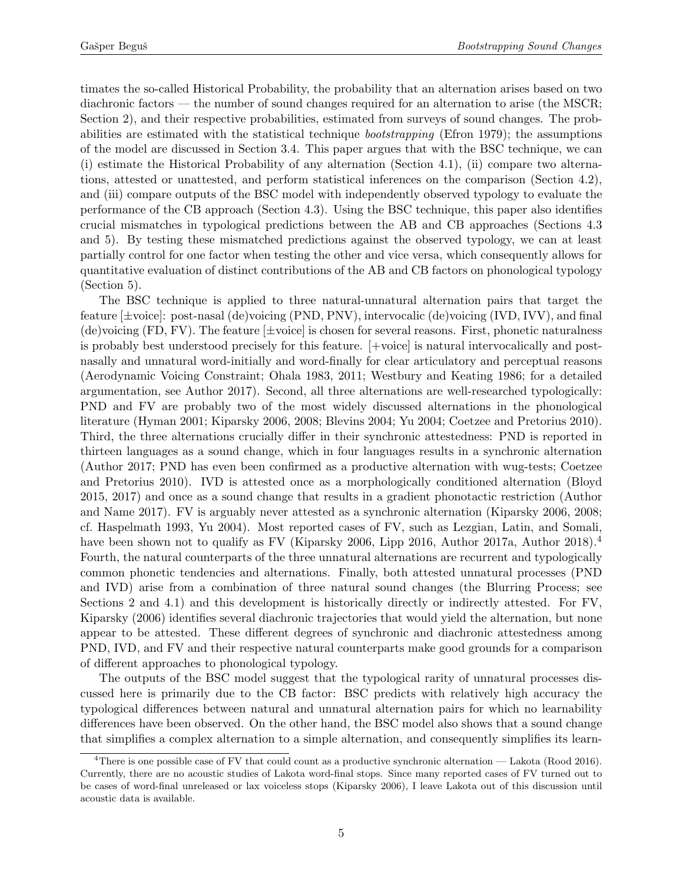timates the so-called Historical Probability, the probability that an alternation arises based on two diachronic factors — the number of sound changes required for an alternation to arise (the MSCR; Section [2\)](#page-5-0), and their respective probabilities, estimated from surveys of sound changes. The probabilities are estimated with the statistical technique bootstrapping (Efron 1979); the assumptions of the model are discussed in Section [3.4.](#page-12-0) This paper argues that with the BSC technique, we can (i) estimate the Historical Probability of any alternation (Section [4.1\)](#page-15-0), (ii) compare two alternations, attested or unattested, and perform statistical inferences on the comparison (Section [4.2\)](#page-19-0), and (iii) compare outputs of the BSC model with independently observed typology to evaluate the performance of the CB approach (Section [4.3\)](#page-21-0). Using the BSC technique, this paper also identifies crucial mismatches in typological predictions between the AB and CB approaches (Sections [4.3](#page-21-0) and [5\)](#page-24-0). By testing these mismatched predictions against the observed typology, we can at least partially control for one factor when testing the other and vice versa, which consequently allows for quantitative evaluation of distinct contributions of the AB and CB factors on phonological typology (Section [5\)](#page-24-0).

The BSC technique is applied to three natural-unnatural alternation pairs that target the feature [±voice]: post-nasal (de)voicing (PND, PNV), intervocalic (de)voicing (IVD, IVV), and final (de)voicing  $(FD, FV)$ . The feature  $[\pm \text{voice}]$  is chosen for several reasons. First, phonetic naturalness is probably best understood precisely for this feature. [+voice] is natural intervocalically and postnasally and unnatural word-initially and word-finally for clear articulatory and perceptual reasons (Aerodynamic Voicing Constraint; Ohala 1983, 2011; Westbury and Keating 1986; for a detailed argumentation, see Author 2017). Second, all three alternations are well-researched typologically: PND and FV are probably two of the most widely discussed alternations in the phonological literature (Hyman 2001; Kiparsky 2006, 2008; Blevins 2004; Yu 2004; Coetzee and Pretorius 2010). Third, the three alternations crucially differ in their synchronic attestedness: PND is reported in thirteen languages as a sound change, which in four languages results in a synchronic alternation (Author 2017; PND has even been confirmed as a productive alternation with wug-tests; Coetzee and Pretorius 2010). IVD is attested once as a morphologically conditioned alternation (Bloyd 2015, 2017) and once as a sound change that results in a gradient phonotactic restriction (Author and Name 2017). FV is arguably never attested as a synchronic alternation (Kiparsky 2006, 2008; cf. Haspelmath 1993, Yu 2004). Most reported cases of FV, such as Lezgian, Latin, and Somali, have been shown not to qualify as FV (Kiparsky 2006, Lipp 2016, Author 2017a, Author 2018).<sup>[4](#page-4-0)</sup> Fourth, the natural counterparts of the three unnatural alternations are recurrent and typologically common phonetic tendencies and alternations. Finally, both attested unnatural processes (PND and IVD) arise from a combination of three natural sound changes (the Blurring Process; see Sections [2](#page-5-0) and [4.1\)](#page-15-0) and this development is historically directly or indirectly attested. For FV, Kiparsky (2006) identifies several diachronic trajectories that would yield the alternation, but none appear to be attested. These different degrees of synchronic and diachronic attestedness among PND, IVD, and FV and their respective natural counterparts make good grounds for a comparison of different approaches to phonological typology.

The outputs of the BSC model suggest that the typological rarity of unnatural processes discussed here is primarily due to the CB factor: BSC predicts with relatively high accuracy the typological differences between natural and unnatural alternation pairs for which no learnability differences have been observed. On the other hand, the BSC model also shows that a sound change that simplifies a complex alternation to a simple alternation, and consequently simplifies its learn-

<span id="page-4-0"></span><sup>&</sup>lt;sup>4</sup>There is one possible case of FV that could count as a productive synchronic alternation — Lakota (Rood 2016). Currently, there are no acoustic studies of Lakota word-final stops. Since many reported cases of FV turned out to be cases of word-final unreleased or lax voiceless stops (Kiparsky 2006), I leave Lakota out of this discussion until acoustic data is available.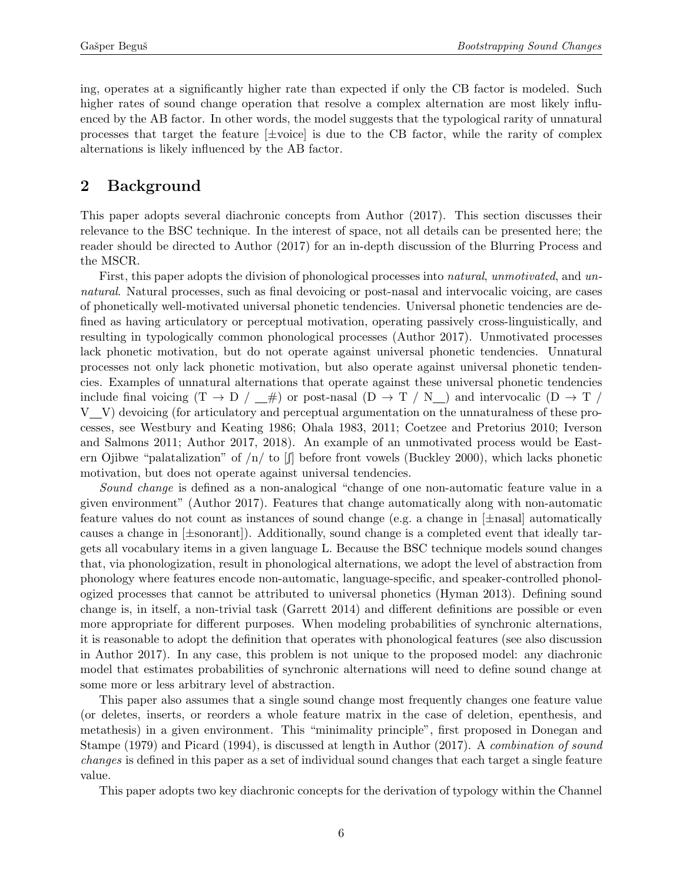ing, operates at a significantly higher rate than expected if only the CB factor is modeled. Such higher rates of sound change operation that resolve a complex alternation are most likely influenced by the AB factor. In other words, the model suggests that the typological rarity of unnatural processes that target the feature  $[\pm \text{voice}]$  is due to the CB factor, while the rarity of complex alternations is likely influenced by the AB factor.

# <span id="page-5-0"></span>2 Background

This paper adopts several diachronic concepts from Author (2017). This section discusses their relevance to the BSC technique. In the interest of space, not all details can be presented here; the reader should be directed to Author (2017) for an in-depth discussion of the Blurring Process and the MSCR.

First, this paper adopts the division of phonological processes into *natural*, unmotivated, and unnatural. Natural processes, such as final devoicing or post-nasal and intervocalic voicing, are cases of phonetically well-motivated universal phonetic tendencies. Universal phonetic tendencies are defined as having articulatory or perceptual motivation, operating passively cross-linguistically, and resulting in typologically common phonological processes (Author 2017). Unmotivated processes lack phonetic motivation, but do not operate against universal phonetic tendencies. Unnatural processes not only lack phonetic motivation, but also operate against universal phonetic tendencies. Examples of unnatural alternations that operate against these universal phonetic tendencies include final voicing  $(T \to D / \_\#)$  or post-nasal  $(D \to T / N \_)$  and intervocalic  $(D \to T / N \_$ V V) devoicing (for articulatory and perceptual argumentation on the unnaturalness of these processes, see Westbury and Keating 1986; Ohala 1983, 2011; Coetzee and Pretorius 2010; Iverson and Salmons 2011; Author 2017, 2018). An example of an unmotivated process would be Eastern Ojibwe "palatalization" of  $n / \text{ to } [\text{f}]$  before front vowels (Buckley 2000), which lacks phonetic motivation, but does not operate against universal tendencies.

Sound change is defined as a non-analogical "change of one non-automatic feature value in a given environment" (Author 2017). Features that change automatically along with non-automatic feature values do not count as instances of sound change (e.g. a change in  $[\pm$ nasal) automatically causes a change in  $[\pm$ sonorant]). Additionally, sound change is a completed event that ideally targets all vocabulary items in a given language L. Because the BSC technique models sound changes that, via phonologization, result in phonological alternations, we adopt the level of abstraction from phonology where features encode non-automatic, language-specific, and speaker-controlled phonologized processes that cannot be attributed to universal phonetics (Hyman 2013). Defining sound change is, in itself, a non-trivial task (Garrett 2014) and different definitions are possible or even more appropriate for different purposes. When modeling probabilities of synchronic alternations, it is reasonable to adopt the definition that operates with phonological features (see also discussion in Author 2017). In any case, this problem is not unique to the proposed model: any diachronic model that estimates probabilities of synchronic alternations will need to define sound change at some more or less arbitrary level of abstraction.

This paper also assumes that a single sound change most frequently changes one feature value (or deletes, inserts, or reorders a whole feature matrix in the case of deletion, epenthesis, and metathesis) in a given environment. This "minimality principle", first proposed in Donegan and Stampe (1979) and Picard (1994), is discussed at length in Author (2017). A combination of sound changes is defined in this paper as a set of individual sound changes that each target a single feature value.

This paper adopts two key diachronic concepts for the derivation of typology within the Channel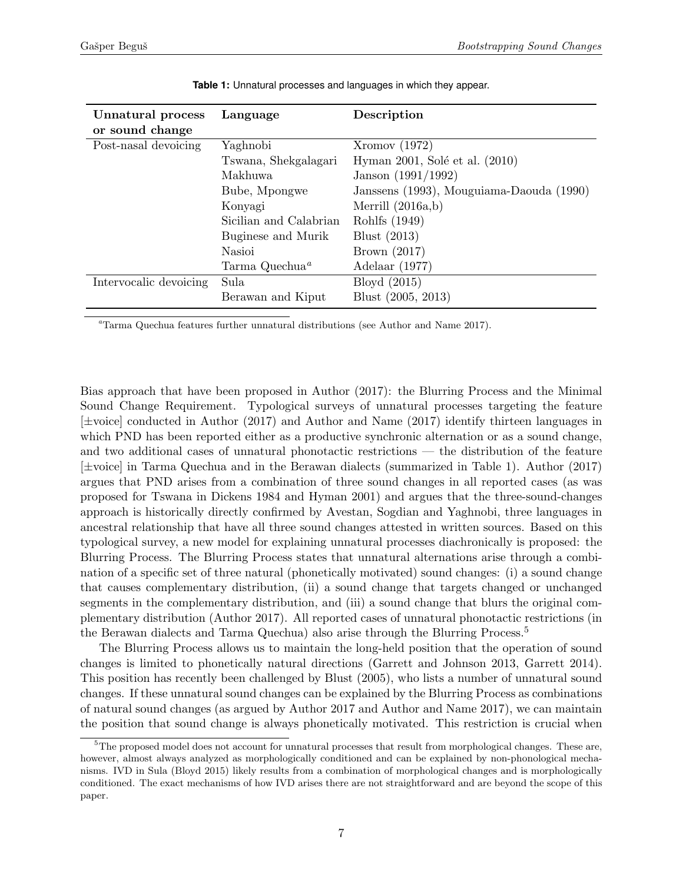<span id="page-6-1"></span>

| Unnatural process      | Language                   | Description                              |
|------------------------|----------------------------|------------------------------------------|
| or sound change        |                            |                                          |
| Post-nasal devoicing   | Yaghnobi                   | Xromov(1972)                             |
|                        | Tswana, Shekgalagari       | Hyman 2001, Solé et al. (2010)           |
|                        | Makhuwa                    | Janson $(1991/1992)$                     |
|                        | Bube, Mpongwe              | Janssens (1993), Mouguiama-Daouda (1990) |
|                        | Konyagi                    | Merrill $(2016a,b)$                      |
|                        | Sicilian and Calabrian     | Rohlfs (1949)                            |
|                        | Buginese and Murik         | Blust $(2013)$                           |
|                        | Nasioi                     | Brown $(2017)$                           |
|                        | Tarma Quechua <sup>a</sup> | Adelaar $(1977)$                         |
| Intervocalic devoicing | Sula                       | Bloyd $(2015)$                           |
|                        | Berawan and Kiput          | Blust (2005, 2013)                       |

**Table 1:** Unnatural processes and languages in which they appear.

<span id="page-6-0"></span><sup>a</sup>Tarma Quechua features further unnatural distributions (see Author and Name 2017).

Bias approach that have been proposed in Author (2017): the Blurring Process and the Minimal Sound Change Requirement. Typological surveys of unnatural processes targeting the feature [±voice] conducted in Author (2017) and Author and Name (2017) identify thirteen languages in which PND has been reported either as a productive synchronic alternation or as a sound change, and two additional cases of unnatural phonotactic restrictions — the distribution of the feature [±voice] in Tarma Quechua and in the Berawan dialects (summarized in Table [1\)](#page-6-1). Author (2017) argues that PND arises from a combination of three sound changes in all reported cases (as was proposed for Tswana in Dickens 1984 and Hyman 2001) and argues that the three-sound-changes approach is historically directly confirmed by Avestan, Sogdian and Yaghnobi, three languages in ancestral relationship that have all three sound changes attested in written sources. Based on this typological survey, a new model for explaining unnatural processes diachronically is proposed: the Blurring Process. The Blurring Process states that unnatural alternations arise through a combination of a specific set of three natural (phonetically motivated) sound changes: (i) a sound change that causes complementary distribution, (ii) a sound change that targets changed or unchanged segments in the complementary distribution, and (iii) a sound change that blurs the original complementary distribution (Author 2017). All reported cases of unnatural phonotactic restrictions (in the Berawan dialects and Tarma Quechua) also arise through the Blurring Process.[5](#page-6-2)

The Blurring Process allows us to maintain the long-held position that the operation of sound changes is limited to phonetically natural directions (Garrett and Johnson 2013, Garrett 2014). This position has recently been challenged by Blust (2005), who lists a number of unnatural sound changes. If these unnatural sound changes can be explained by the Blurring Process as combinations of natural sound changes (as argued by Author 2017 and Author and Name 2017), we can maintain the position that sound change is always phonetically motivated. This restriction is crucial when

<span id="page-6-2"></span><sup>&</sup>lt;sup>5</sup>The proposed model does not account for unnatural processes that result from morphological changes. These are, however, almost always analyzed as morphologically conditioned and can be explained by non-phonological mechanisms. IVD in Sula (Bloyd 2015) likely results from a combination of morphological changes and is morphologically conditioned. The exact mechanisms of how IVD arises there are not straightforward and are beyond the scope of this paper.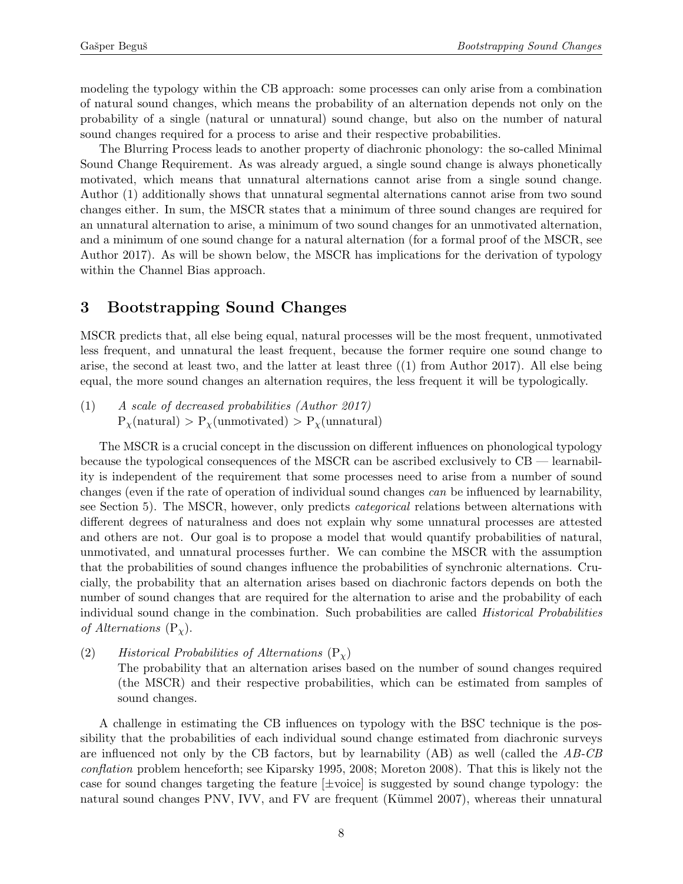modeling the typology within the CB approach: some processes can only arise from a combination of natural sound changes, which means the probability of an alternation depends not only on the probability of a single (natural or unnatural) sound change, but also on the number of natural sound changes required for a process to arise and their respective probabilities.

The Blurring Process leads to another property of diachronic phonology: the so-called Minimal Sound Change Requirement. As was already argued, a single sound change is always phonetically motivated, which means that unnatural alternations cannot arise from a single sound change. Author (1) additionally shows that unnatural segmental alternations cannot arise from two sound changes either. In sum, the MSCR states that a minimum of three sound changes are required for an unnatural alternation to arise, a minimum of two sound changes for an unmotivated alternation, and a minimum of one sound change for a natural alternation (for a formal proof of the MSCR, see Author 2017). As will be shown below, the MSCR has implications for the derivation of typology within the Channel Bias approach.

# <span id="page-7-2"></span>3 Bootstrapping Sound Changes

MSCR predicts that, all else being equal, natural processes will be the most frequent, unmotivated less frequent, and unnatural the least frequent, because the former require one sound change to arise, the second at least two, and the latter at least three [\(\(1\)](#page-7-0) from Author 2017). All else being equal, the more sound changes an alternation requires, the less frequent it will be typologically.

<span id="page-7-0"></span>(1) A scale of decreased probabilities (Author 2017)  $P_{\chi}(\text{natural}) > P_{\chi}(\text{unmotivated}) > P_{\chi}(\text{unnatural})$ 

The MSCR is a crucial concept in the discussion on different influences on phonological typology because the typological consequences of the MSCR can be ascribed exclusively to  $CB$  — learnability is independent of the requirement that some processes need to arise from a number of sound changes (even if the rate of operation of individual sound changes can be influenced by learnability, see Section [5\)](#page-24-0). The MSCR, however, only predicts *categorical* relations between alternations with different degrees of naturalness and does not explain why some unnatural processes are attested and others are not. Our goal is to propose a model that would quantify probabilities of natural, unmotivated, and unnatural processes further. We can combine the MSCR with the assumption that the probabilities of sound changes influence the probabilities of synchronic alternations. Crucially, the probability that an alternation arises based on diachronic factors depends on both the number of sound changes that are required for the alternation to arise and the probability of each individual sound change in the combination. Such probabilities are called Historical Probabilities of Alternations  $(P_{\chi})$ .

<span id="page-7-1"></span>(2) Historical Probabilities of Alternations  $(P_{\gamma})$ 

The probability that an alternation arises based on the number of sound changes required (the MSCR) and their respective probabilities, which can be estimated from samples of sound changes.

A challenge in estimating the CB influences on typology with the BSC technique is the possibility that the probabilities of each individual sound change estimated from diachronic surveys are influenced not only by the CB factors, but by learnability  $(AB)$  as well (called the  $AB-CB$ conflation problem henceforth; see Kiparsky 1995, 2008; Moreton 2008). That this is likely not the case for sound changes targeting the feature  $[\pm \text{voice}]$  is suggested by sound change typology: the natural sound changes PNV, IVV, and FV are frequent (Kümmel 2007), whereas their unnatural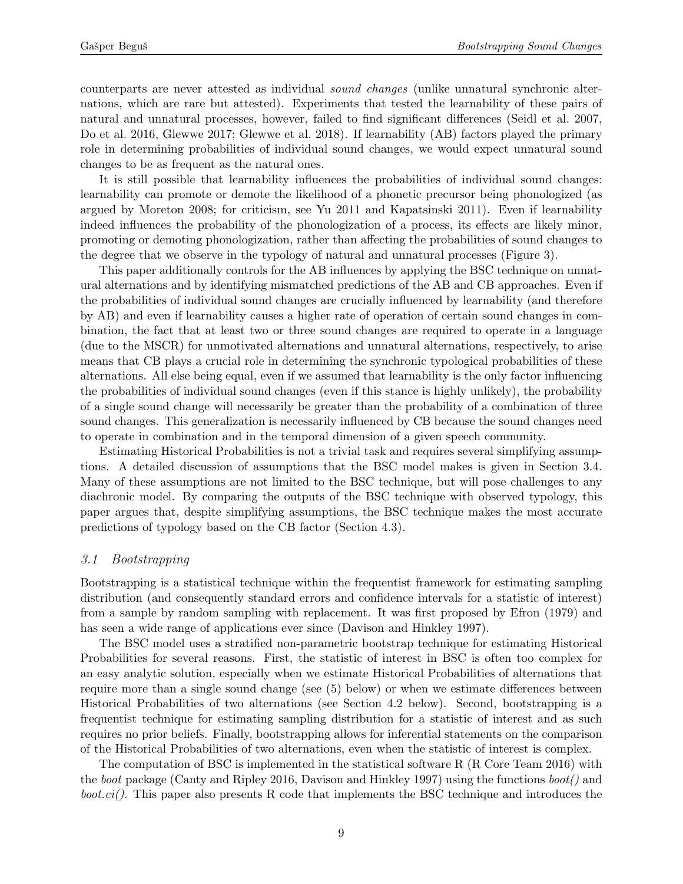counterparts are never attested as individual sound changes (unlike unnatural synchronic alternations, which are rare but attested). Experiments that tested the learnability of these pairs of natural and unnatural processes, however, failed to find significant differences (Seidl et al. 2007, Do et al. 2016, Glewwe 2017; Glewwe et al. 2018). If learnability (AB) factors played the primary role in determining probabilities of individual sound changes, we would expect unnatural sound changes to be as frequent as the natural ones.

It is still possible that learnability influences the probabilities of individual sound changes: learnability can promote or demote the likelihood of a phonetic precursor being phonologized (as argued by Moreton 2008; for criticism, see Yu 2011 and Kapatsinski 2011). Even if learnability indeed influences the probability of the phonologization of a process, its effects are likely minor, promoting or demoting phonologization, rather than affecting the probabilities of sound changes to the degree that we observe in the typology of natural and unnatural processes (Figure [3\)](#page-22-0).

This paper additionally controls for the AB influences by applying the BSC technique on unnatural alternations and by identifying mismatched predictions of the AB and CB approaches. Even if the probabilities of individual sound changes are crucially influenced by learnability (and therefore by AB) and even if learnability causes a higher rate of operation of certain sound changes in combination, the fact that at least two or three sound changes are required to operate in a language (due to the MSCR) for unmotivated alternations and unnatural alternations, respectively, to arise means that CB plays a crucial role in determining the synchronic typological probabilities of these alternations. All else being equal, even if we assumed that learnability is the only factor influencing the probabilities of individual sound changes (even if this stance is highly unlikely), the probability of a single sound change will necessarily be greater than the probability of a combination of three sound changes. This generalization is necessarily influenced by CB because the sound changes need to operate in combination and in the temporal dimension of a given speech community.

Estimating Historical Probabilities is not a trivial task and requires several simplifying assumptions. A detailed discussion of assumptions that the BSC model makes is given in Section [3.4.](#page-12-0) Many of these assumptions are not limited to the BSC technique, but will pose challenges to any diachronic model. By comparing the outputs of the BSC technique with observed typology, this paper argues that, despite simplifying assumptions, the BSC technique makes the most accurate predictions of typology based on the CB factor (Section [4.3\)](#page-21-0).

### 3.1 Bootstrapping

Bootstrapping is a statistical technique within the frequentist framework for estimating sampling distribution (and consequently standard errors and confidence intervals for a statistic of interest) from a sample by random sampling with replacement. It was first proposed by Efron (1979) and has seen a wide range of applications ever since (Davison and Hinkley 1997).

The BSC model uses a stratified non-parametric bootstrap technique for estimating Historical Probabilities for several reasons. First, the statistic of interest in BSC is often too complex for an easy analytic solution, especially when we estimate Historical Probabilities of alternations that require more than a single sound change (see [\(5\)](#page-10-0) below) or when we estimate differences between Historical Probabilities of two alternations (see Section [4.2](#page-19-0) below). Second, bootstrapping is a frequentist technique for estimating sampling distribution for a statistic of interest and as such requires no prior beliefs. Finally, bootstrapping allows for inferential statements on the comparison of the Historical Probabilities of two alternations, even when the statistic of interest is complex.

The computation of BSC is implemented in the statistical software R (R Core Team 2016) with the boot package (Canty and Ripley 2016, Davison and Hinkley 1997) using the functions  $boot()$  and *boot.ci*(). This paper also presents R code that implements the BSC technique and introduces the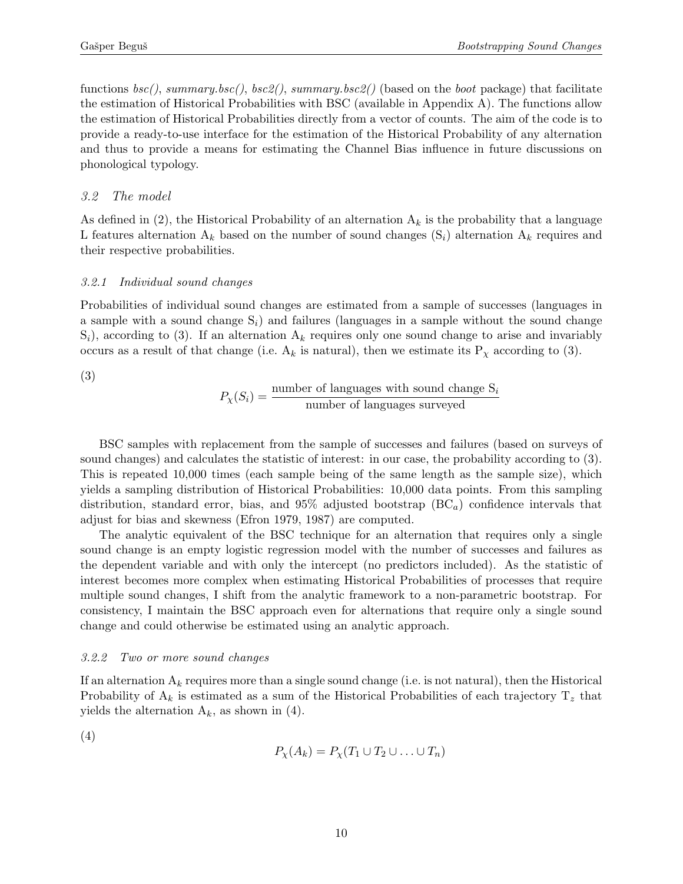functions  $bsc()$ , summary.bsc(),  $bsc2()$ , summary.bsc2() (based on the boot package) that facilitate the estimation of Historical Probabilities with BSC (available in Appendix [A\)](#page-34-0). The functions allow the estimation of Historical Probabilities directly from a vector of counts. The aim of the code is to provide a ready-to-use interface for the estimation of the Historical Probability of any alternation and thus to provide a means for estimating the Channel Bias influence in future discussions on phonological typology.

### <span id="page-9-4"></span>3.2 The model

As defined in [\(2\),](#page-7-1) the Historical Probability of an alternation  $A_k$  is the probability that a language L features alternation  $A_k$  based on the number of sound changes  $(S_i)$  alternation  $A_k$  requires and their respective probabilities.

### <span id="page-9-2"></span>3.2.1 Individual sound changes

Probabilities of individual sound changes are estimated from a sample of successes (languages in a sample with a sound change  $S_i$ ) and failures (languages in a sample without the sound change  $S_i$ , according to [\(3\).](#page-9-0) If an alternation  $A_k$  requires only one sound change to arise and invariably occurs as a result of that change (i.e.  $A_k$  is natural), then we estimate its  $P_\chi$  according to [\(3\).](#page-9-0)

<span id="page-9-0"></span>(3)

$$
P_{\chi}(S_i) = \frac{\text{number of languages with sound change } S_i}{\text{number of languages surveyed}}
$$

BSC samples with replacement from the sample of successes and failures (based on surveys of sound changes) and calculates the statistic of interest: in our case, the probability according to [\(3\).](#page-9-0) This is repeated 10,000 times (each sample being of the same length as the sample size), which yields a sampling distribution of Historical Probabilities: 10,000 data points. From this sampling distribution, standard error, bias, and  $95\%$  adjusted bootstrap  $(BC_{a})$  confidence intervals that adjust for bias and skewness (Efron 1979, 1987) are computed.

The analytic equivalent of the BSC technique for an alternation that requires only a single sound change is an empty logistic regression model with the number of successes and failures as the dependent variable and with only the intercept (no predictors included). As the statistic of interest becomes more complex when estimating Historical Probabilities of processes that require multiple sound changes, I shift from the analytic framework to a non-parametric bootstrap. For consistency, I maintain the BSC approach even for alternations that require only a single sound change and could otherwise be estimated using an analytic approach.

### <span id="page-9-3"></span>3.2.2 Two or more sound changes

If an alternation  $A_k$  requires more than a single sound change (i.e. is not natural), then the Historical Probability of  $A_k$  is estimated as a sum of the Historical Probabilities of each trajectory  $T_z$  that yields the alternation  $A_k$ , as shown in [\(4\).](#page-9-1)

<span id="page-9-1"></span>(4) 
$$
P_{\chi}(A_k) = P_{\chi}(T_1 \cup T_2 \cup \ldots \cup T_n)
$$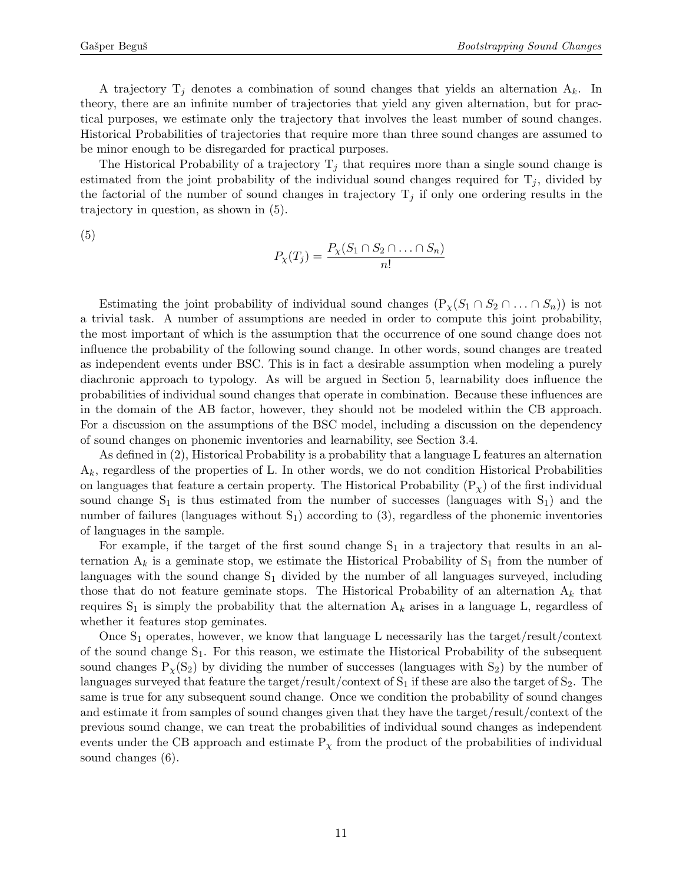A trajectory  $T_j$  denotes a combination of sound changes that yields an alternation  $A_k$ . In theory, there are an infinite number of trajectories that yield any given alternation, but for practical purposes, we estimate only the trajectory that involves the least number of sound changes. Historical Probabilities of trajectories that require more than three sound changes are assumed to be minor enough to be disregarded for practical purposes.

The Historical Probability of a trajectory  $T_j$  that requires more than a single sound change is estimated from the joint probability of the individual sound changes required for  $T_j$ , divided by the factorial of the number of sound changes in trajectory  $T_j$  if only one ordering results in the trajectory in question, as shown in [\(5\).](#page-10-0)

<span id="page-10-0"></span>(5)

$$
P_{\chi}(T_j) = \frac{P_{\chi}(S_1 \cap S_2 \cap \ldots \cap S_n)}{n!}
$$

Estimating the joint probability of individual sound changes  $(P_x(S_1 \cap S_2 \cap ... \cap S_n))$  is not a trivial task. A number of assumptions are needed in order to compute this joint probability, the most important of which is the assumption that the occurrence of one sound change does not influence the probability of the following sound change. In other words, sound changes are treated as independent events under BSC. This is in fact a desirable assumption when modeling a purely diachronic approach to typology. As will be argued in Section [5,](#page-24-0) learnability does influence the probabilities of individual sound changes that operate in combination. Because these influences are in the domain of the AB factor, however, they should not be modeled within the CB approach. For a discussion on the assumptions of the BSC model, including a discussion on the dependency of sound changes on phonemic inventories and learnability, see Section [3.4.](#page-12-0)

As defined in [\(2\),](#page-7-1) Historical Probability is a probability that a language L features an alternation  $A_k$ , regardless of the properties of L. In other words, we do not condition Historical Probabilities on languages that feature a certain property. The Historical Probability  $(P<sub>x</sub>)$  of the first individual sound change  $S_1$  is thus estimated from the number of successes (languages with  $S_1$ ) and the number of failures (languages without  $S_1$ ) according to [\(3\),](#page-9-0) regardless of the phonemic inventories of languages in the sample.

For example, if the target of the first sound change  $S_1$  in a trajectory that results in an alternation  $A_k$  is a geminate stop, we estimate the Historical Probability of  $S_1$  from the number of languages with the sound change  $S_1$  divided by the number of all languages surveyed, including those that do not feature geminate stops. The Historical Probability of an alternation  $A_k$  that requires  $S_1$  is simply the probability that the alternation  $A_k$  arises in a language L, regardless of whether it features stop geminates.

<span id="page-10-1"></span>Once  $S_1$  operates, however, we know that language L necessarily has the target/result/context of the sound change  $S_1$ . For this reason, we estimate the Historical Probability of the subsequent sound changes  $P_\chi(S_2)$  by dividing the number of successes (languages with  $S_2$ ) by the number of languages surveyed that feature the target/result/context of  $S_1$  if these are also the target of  $S_2$ . The same is true for any subsequent sound change. Once we condition the probability of sound changes and estimate it from samples of sound changes given that they have the target/result/context of the previous sound change, we can treat the probabilities of individual sound changes as independent events under the CB approach and estimate  $P<sub>\chi</sub>$  from the product of the probabilities of individual sound changes [\(6\).](#page-10-1)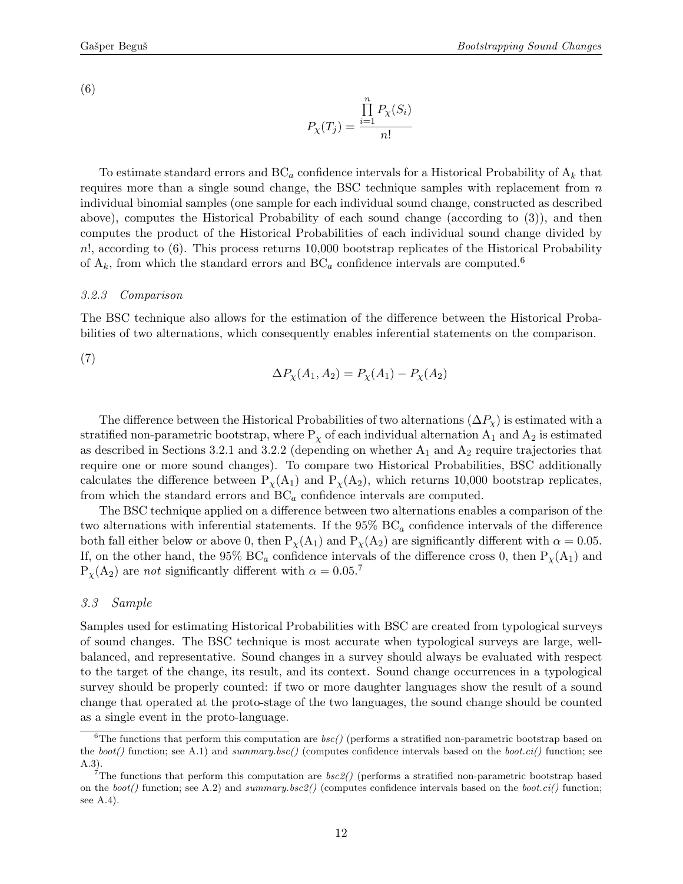$$
P_{\chi}(T_j) = \frac{\prod_{i=1}^{n} P_{\chi}(S_i)}{n!}
$$

To estimate standard errors and  $BC_a$  confidence intervals for a Historical Probability of  $A_k$  that requires more than a single sound change, the BSC technique samples with replacement from  $n$ individual binomial samples (one sample for each individual sound change, constructed as described above), computes the Historical Probability of each sound change (according to [\(3\)\)](#page-9-0), and then computes the product of the Historical Probabilities of each individual sound change divided by n!, according to [\(6\).](#page-10-1) This process returns 10,000 bootstrap replicates of the Historical Probability of  $A_k$ , from which the standard errors and  $BC_a$  confidence intervals are computed.<sup>[6](#page-11-1)</sup>

### <span id="page-11-3"></span>3.2.3 Comparison

The BSC technique also allows for the estimation of the difference between the Historical Probabilities of two alternations, which consequently enables inferential statements on the comparison.

<span id="page-11-4"></span>(7)

$$
\Delta P_{\chi}(A_1, A_2) = P_{\chi}(A_1) - P_{\chi}(A_2)
$$

The difference between the Historical Probabilities of two alternations  $(\Delta P_{\chi})$  is estimated with a stratified non-parametric bootstrap, where  $P_{\chi}$  of each individual alternation  $A_1$  and  $A_2$  is estimated as described in Sections [3.2.1](#page-9-2) and [3.2.2](#page-9-3) (depending on whether  $A_1$  and  $A_2$  require trajectories that require one or more sound changes). To compare two Historical Probabilities, BSC additionally calculates the difference between  $P_{\chi}(A_1)$  and  $P_{\chi}(A_2)$ , which returns 10,000 bootstrap replicates, from which the standard errors and  $BC_a$  confidence intervals are computed.

The BSC technique applied on a difference between two alternations enables a comparison of the two alternations with inferential statements. If the  $95\%$  BC<sub>a</sub> confidence intervals of the difference both fall either below or above 0, then  $P_{\chi}(A_1)$  and  $P_{\chi}(A_2)$  are significantly different with  $\alpha = 0.05$ . If, on the other hand, the 95% BC<sub>a</sub> confidence intervals of the difference cross 0, then  $P_\chi(A_1)$  and  $P_{\chi}(A_2)$  are not significantly different with  $\alpha = 0.05$ .

#### <span id="page-11-0"></span>3.3 Sample

Samples used for estimating Historical Probabilities with BSC are created from typological surveys of sound changes. The BSC technique is most accurate when typological surveys are large, wellbalanced, and representative. Sound changes in a survey should always be evaluated with respect to the target of the change, its result, and its context. Sound change occurrences in a typological survey should be properly counted: if two or more daughter languages show the result of a sound change that operated at the proto-stage of the two languages, the sound change should be counted as a single event in the proto-language.

<span id="page-11-1"></span><sup>&</sup>lt;sup>6</sup>The functions that perform this computation are  $bsc()$  (performs a stratified non-parametric bootstrap based on the boot() function; see [A.1\)](#page-34-1) and summary.bsc() (computes confidence intervals based on the boot.ci() function; see [A.3\)](#page-36-0).

<span id="page-11-2"></span><sup>&</sup>lt;sup>7</sup>The functions that perform this computation are  $bsc2$ ) (performs a stratified non-parametric bootstrap based on the  $boot()$  function; see [A.2\)](#page-34-2) and summary.bsc2() (computes confidence intervals based on the  $boot.ci()$  function; see [A.4\)](#page-36-1).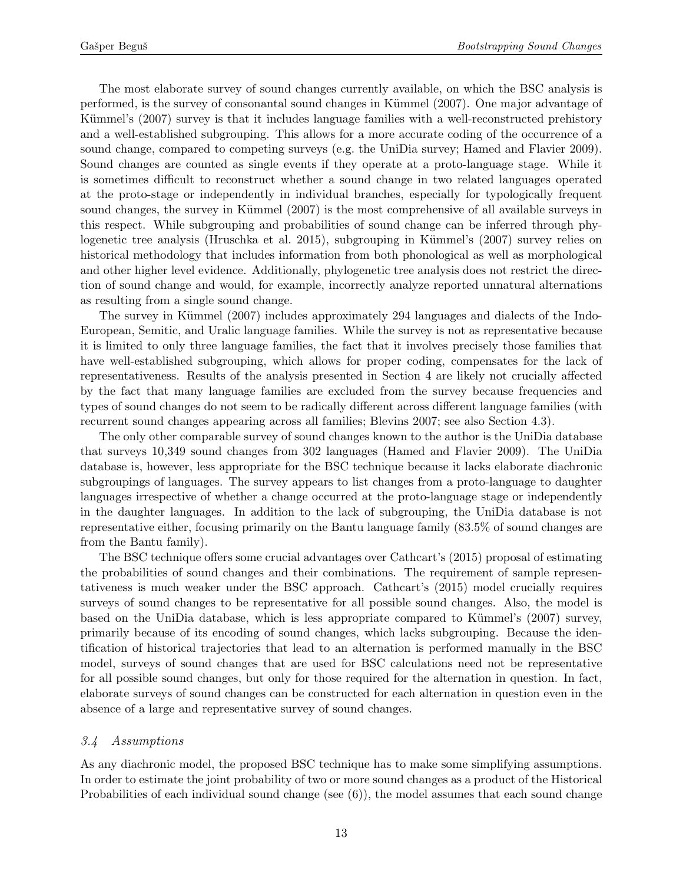The most elaborate survey of sound changes currently available, on which the BSC analysis is performed, is the survey of consonantal sound changes in Kümmel (2007). One major advantage of Kümmel's (2007) survey is that it includes language families with a well-reconstructed prehistory and a well-established subgrouping. This allows for a more accurate coding of the occurrence of a sound change, compared to competing surveys (e.g. the UniDia survey; Hamed and Flavier 2009). Sound changes are counted as single events if they operate at a proto-language stage. While it is sometimes difficult to reconstruct whether a sound change in two related languages operated at the proto-stage or independently in individual branches, especially for typologically frequent sound changes, the survey in Kümmel (2007) is the most comprehensive of all available surveys in this respect. While subgrouping and probabilities of sound change can be inferred through phylogenetic tree analysis (Hruschka et al. 2015), subgrouping in Kümmel's (2007) survey relies on historical methodology that includes information from both phonological as well as morphological and other higher level evidence. Additionally, phylogenetic tree analysis does not restrict the direction of sound change and would, for example, incorrectly analyze reported unnatural alternations as resulting from a single sound change.

The survey in Kümmel (2007) includes approximately 294 languages and dialects of the Indo-European, Semitic, and Uralic language families. While the survey is not as representative because it is limited to only three language families, the fact that it involves precisely those families that have well-established subgrouping, which allows for proper coding, compensates for the lack of representativeness. Results of the analysis presented in Section [4](#page-14-0) are likely not crucially affected by the fact that many language families are excluded from the survey because frequencies and types of sound changes do not seem to be radically different across different language families (with recurrent sound changes appearing across all families; Blevins 2007; see also Section [4.3\)](#page-21-0).

The only other comparable survey of sound changes known to the author is the UniDia database that surveys 10,349 sound changes from 302 languages (Hamed and Flavier 2009). The UniDia database is, however, less appropriate for the BSC technique because it lacks elaborate diachronic subgroupings of languages. The survey appears to list changes from a proto-language to daughter languages irrespective of whether a change occurred at the proto-language stage or independently in the daughter languages. In addition to the lack of subgrouping, the UniDia database is not representative either, focusing primarily on the Bantu language family (83.5% of sound changes are from the Bantu family).

The BSC technique offers some crucial advantages over Cathcart's (2015) proposal of estimating the probabilities of sound changes and their combinations. The requirement of sample representativeness is much weaker under the BSC approach. Cathcart's (2015) model crucially requires surveys of sound changes to be representative for all possible sound changes. Also, the model is based on the UniDia database, which is less appropriate compared to Kümmel's  $(2007)$  survey, primarily because of its encoding of sound changes, which lacks subgrouping. Because the identification of historical trajectories that lead to an alternation is performed manually in the BSC model, surveys of sound changes that are used for BSC calculations need not be representative for all possible sound changes, but only for those required for the alternation in question. In fact, elaborate surveys of sound changes can be constructed for each alternation in question even in the absence of a large and representative survey of sound changes.

### <span id="page-12-0"></span>3.4 Assumptions

As any diachronic model, the proposed BSC technique has to make some simplifying assumptions. In order to estimate the joint probability of two or more sound changes as a product of the Historical Probabilities of each individual sound change (see [\(6\)\)](#page-10-1), the model assumes that each sound change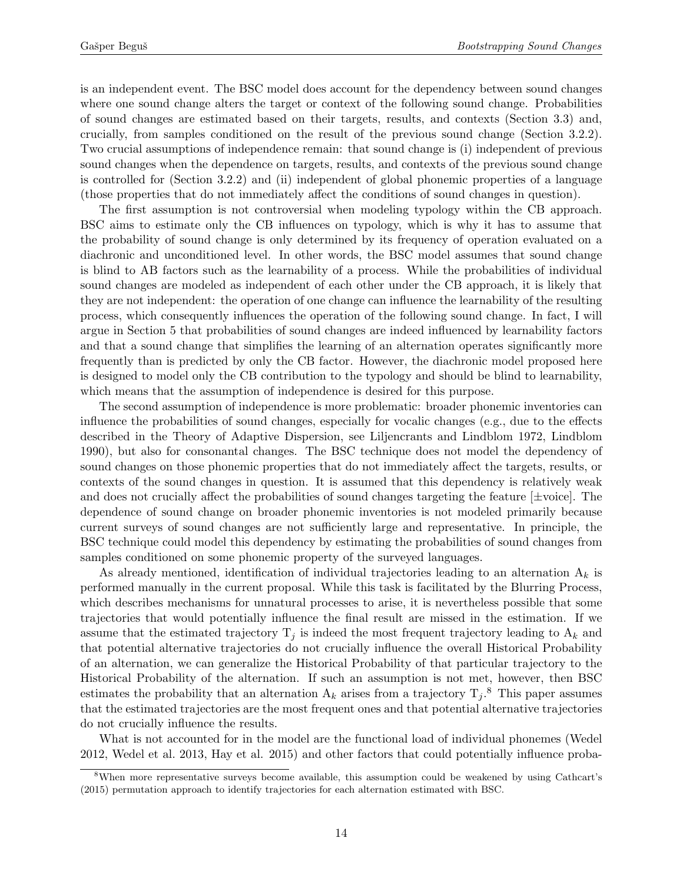is an independent event. The BSC model does account for the dependency between sound changes where one sound change alters the target or context of the following sound change. Probabilities of sound changes are estimated based on their targets, results, and contexts (Section [3.3\)](#page-11-0) and, crucially, from samples conditioned on the result of the previous sound change (Section [3.2.2\)](#page-9-3). Two crucial assumptions of independence remain: that sound change is (i) independent of previous sound changes when the dependence on targets, results, and contexts of the previous sound change is controlled for (Section [3.2.2\)](#page-9-3) and (ii) independent of global phonemic properties of a language (those properties that do not immediately affect the conditions of sound changes in question).

The first assumption is not controversial when modeling typology within the CB approach. BSC aims to estimate only the CB influences on typology, which is why it has to assume that the probability of sound change is only determined by its frequency of operation evaluated on a diachronic and unconditioned level. In other words, the BSC model assumes that sound change is blind to AB factors such as the learnability of a process. While the probabilities of individual sound changes are modeled as independent of each other under the CB approach, it is likely that they are not independent: the operation of one change can influence the learnability of the resulting process, which consequently influences the operation of the following sound change. In fact, I will argue in Section [5](#page-24-0) that probabilities of sound changes are indeed influenced by learnability factors and that a sound change that simplifies the learning of an alternation operates significantly more frequently than is predicted by only the CB factor. However, the diachronic model proposed here is designed to model only the CB contribution to the typology and should be blind to learnability, which means that the assumption of independence is desired for this purpose.

The second assumption of independence is more problematic: broader phonemic inventories can influence the probabilities of sound changes, especially for vocalic changes (e.g., due to the effects described in the Theory of Adaptive Dispersion, see Liljencrants and Lindblom 1972, Lindblom 1990), but also for consonantal changes. The BSC technique does not model the dependency of sound changes on those phonemic properties that do not immediately affect the targets, results, or contexts of the sound changes in question. It is assumed that this dependency is relatively weak and does not crucially affect the probabilities of sound changes targeting the feature  $[\pm \text{voice}]$ . The dependence of sound change on broader phonemic inventories is not modeled primarily because current surveys of sound changes are not sufficiently large and representative. In principle, the BSC technique could model this dependency by estimating the probabilities of sound changes from samples conditioned on some phonemic property of the surveyed languages.

As already mentioned, identification of individual trajectories leading to an alternation  $A_k$  is performed manually in the current proposal. While this task is facilitated by the Blurring Process, which describes mechanisms for unnatural processes to arise, it is nevertheless possible that some trajectories that would potentially influence the final result are missed in the estimation. If we assume that the estimated trajectory  $T_j$  is indeed the most frequent trajectory leading to  $A_k$  and that potential alternative trajectories do not crucially influence the overall Historical Probability of an alternation, we can generalize the Historical Probability of that particular trajectory to the Historical Probability of the alternation. If such an assumption is not met, however, then BSC estimates the probability that an alternation  $A_k$  arises from a trajectory  $T_j$ .<sup>[8](#page-13-0)</sup> This paper assumes that the estimated trajectories are the most frequent ones and that potential alternative trajectories do not crucially influence the results.

What is not accounted for in the model are the functional load of individual phonemes (Wedel 2012, Wedel et al. 2013, Hay et al. 2015) and other factors that could potentially influence proba-

<span id="page-13-0"></span><sup>8</sup>When more representative surveys become available, this assumption could be weakened by using Cathcart's (2015) permutation approach to identify trajectories for each alternation estimated with BSC.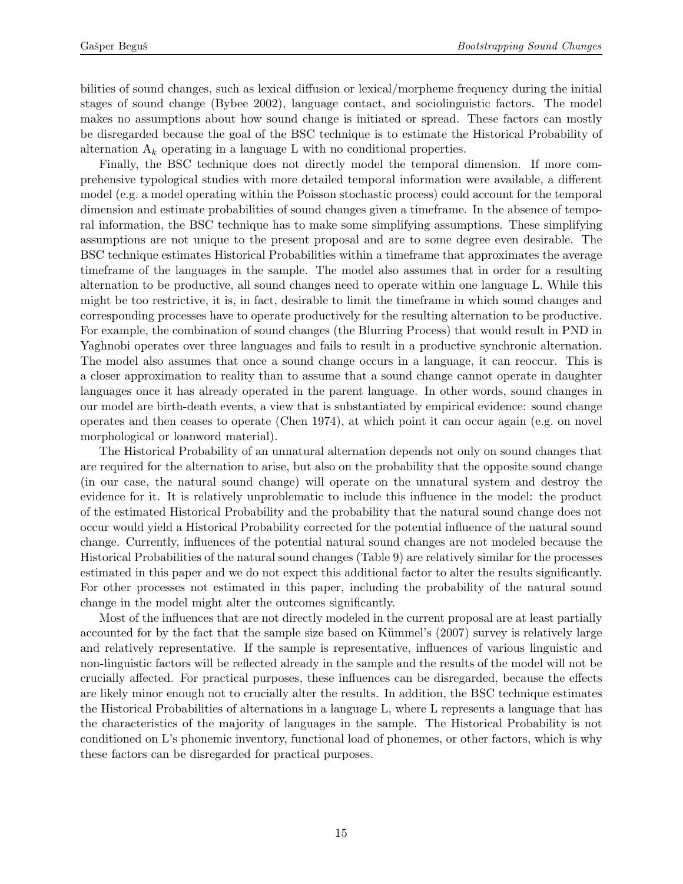bilities of sound changes, such as lexical diffusion or lexical/morpheme frequency during the initial stages of sound change (Bybee 2002), language contact, and sociolinguistic factors. The model makes no assumptions about how sound change is initiated or spread. These factors can mostly be disregarded because the goal of the BSC technique is to estimate the Historical Probability of alternation  $A_k$  operating in a language L with no conditional properties.

Finally, the BSC technique does not directly model the temporal dimension. If more comprehensive typological studies with more detailed temporal information were available, a different model (e.g. a model operating within the Poisson stochastic process) could account for the temporal dimension and estimate probabilities of sound changes given a timeframe. In the absence of temporal information, the BSC technique has to make some simplifying assumptions. These simplifying assumptions are not unique to the present proposal and are to some degree even desirable. The BSC technique estimates Historical Probabilities within a timeframe that approximates the average timeframe of the languages in the sample. The model also assumes that in order for a resulting alternation to be productive, all sound changes need to operate within one language L. While this might be too restrictive, it is, in fact, desirable to limit the timeframe in which sound changes and corresponding processes have to operate productively for the resulting alternation to be productive. For example, the combination of sound changes (the Blurring Process) that would result in PND in Yaghnobi operates over three languages and fails to result in a productive synchronic alternation. The model also assumes that once a sound change occurs in a language, it can reoccur. This is a closer approximation to reality than to assume that a sound change cannot operate in daughter languages once it has already operated in the parent language. In other words, sound changes in our model are birth-death events, a view that is substantiated by empirical evidence: sound change operates and then ceases to operate (Chen 1974), at which point it can occur again (e.g. on novel morphological or loanword material).

The Historical Probability of an unnatural alternation depends not only on sound changes that are required for the alternation to arise, but also on the probability that the opposite sound change (in our case, the natural sound change) will operate on the unnatural system and destroy the evidence for it. It is relatively unproblematic to include this influence in the model: the product of the estimated Historical Probability and the probability that the natural sound change does not occur would yield a Historical Probability corrected for the potential influence of the natural sound change. Currently, influences of the potential natural sound changes are not modeled because the Historical Probabilities of the natural sound changes (Table [9\)](#page-22-1) are relatively similar for the processes estimated in this paper and we do not expect this additional factor to alter the results significantly. For other processes not estimated in this paper, including the probability of the natural sound change in the model might alter the outcomes significantly.

<span id="page-14-0"></span>Most of the influences that are not directly modeled in the current proposal are at least partially accounted for by the fact that the sample size based on Kümmel's (2007) survey is relatively large and relatively representative. If the sample is representative, influences of various linguistic and non-linguistic factors will be reflected already in the sample and the results of the model will not be crucially affected. For practical purposes, these influences can be disregarded, because the effects are likely minor enough not to crucially alter the results. In addition, the BSC technique estimates the Historical Probabilities of alternations in a language L, where L represents a language that has the characteristics of the majority of languages in the sample. The Historical Probability is not conditioned on L's phonemic inventory, functional load of phonemes, or other factors, which is why these factors can be disregarded for practical purposes.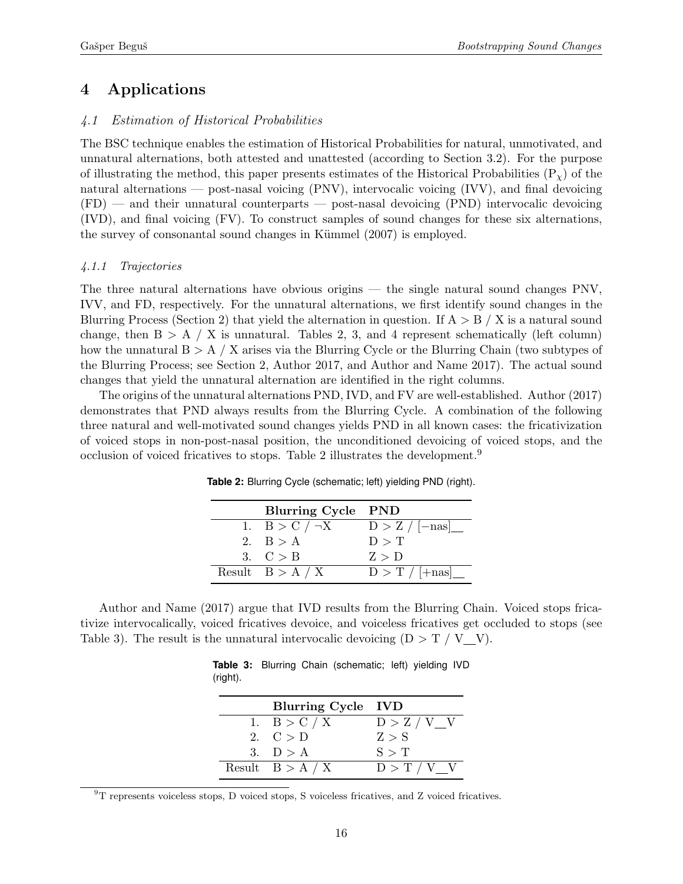# 4 Applications

## <span id="page-15-0"></span>4.1 Estimation of Historical Probabilities

The BSC technique enables the estimation of Historical Probabilities for natural, unmotivated, and unnatural alternations, both attested and unattested (according to Section [3.2\)](#page-9-4). For the purpose of illustrating the method, this paper presents estimates of the Historical Probabilities  $(P<sub>x</sub>)$  of the natural alternations — post-nasal voicing (PNV), intervocalic voicing (IVV), and final devoicing (FD) — and their unnatural counterparts — post-nasal devoicing (PND) intervocalic devoicing (IVD), and final voicing (FV). To construct samples of sound changes for these six alternations, the survey of consonantal sound changes in Kümmel (2007) is employed.

## 4.1.1 Trajectories

The three natural alternations have obvious origins — the single natural sound changes PNV, IVV, and FD, respectively. For the unnatural alternations, we first identify sound changes in the Blurring Process (Section [2\)](#page-5-0) that yield the alternation in question. If  $A > B / X$  is a natural sound change, then  $B > A / X$  is unnatural. Tables [2,](#page-15-1) [3,](#page-15-2) and [4](#page-16-0) represent schematically (left column) how the unnatural  $B > A / X$  arises via the Blurring Cycle or the Blurring Chain (two subtypes of the Blurring Process; see Section [2,](#page-5-0) Author 2017, and Author and Name 2017). The actual sound changes that yield the unnatural alternation are identified in the right columns.

<span id="page-15-1"></span>The origins of the unnatural alternations PND, IVD, and FV are well-established. Author (2017) demonstrates that PND always results from the Blurring Cycle. A combination of the following three natural and well-motivated sound changes yields PND in all known cases: the fricativization of voiced stops in non-post-nasal position, the unconditioned devoicing of voiced stops, and the occlusion of voiced fricatives to stops. Table [2](#page-15-1) illustrates the development.[9](#page-15-3)

| Blurring Cycle PND  |                  |
|---------------------|------------------|
| 1. $B > C / \neg X$ | $D > Z / [-nas]$ |
| 2. $B > A$          | D > T            |
| 3. $C > B$          | Z > D            |
| Result $B > A / X$  | $D > T / [+nas]$ |

**Table 2:** Blurring Cycle (schematic; left) yielding PND (right).

<span id="page-15-2"></span>Author and Name (2017) argue that IVD results from the Blurring Chain. Voiced stops fricativize intervocalically, voiced fricatives devoice, and voiceless fricatives get occluded to stops (see Table [3\)](#page-15-2). The result is the unnatural intervocalic devoicing  $(D > T / V V)$ .

|          |  | <b>Table 3:</b> Blurring Chain (schematic; left) yielding IVD |  |  |
|----------|--|---------------------------------------------------------------|--|--|
| (right). |  |                                                               |  |  |

| Blurring Cycle IVD |               |
|--------------------|---------------|
| 1. $B > C / X$     | D > Z / V V   |
| 2. $C > D$         | Z > S         |
| 3. $D > A$         | S > T         |
| Result $B > A / X$ | $D > T / V$ V |

<span id="page-15-3"></span> $^{9}T$  represents voiceless stops, D voiced stops, S voiceless fricatives, and Z voiced fricatives.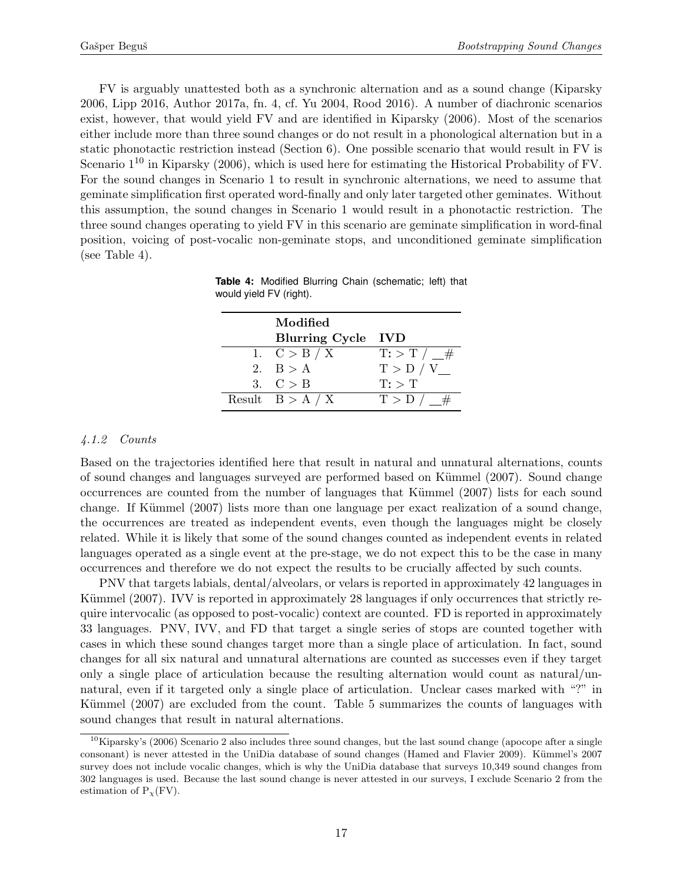FV is arguably unattested both as a synchronic alternation and as a sound change (Kiparsky 2006, Lipp 2016, Author 2017a, fn. [4,](#page-4-0) cf. Yu 2004, Rood 2016). A number of diachronic scenarios exist, however, that would yield FV and are identified in Kiparsky (2006). Most of the scenarios either include more than three sound changes or do not result in a phonological alternation but in a static phonotactic restriction instead (Section [6\)](#page-19-1). One possible scenario that would result in FV is Scenario  $1^{10}$  $1^{10}$  $1^{10}$  in Kiparsky (2006), which is used here for estimating the Historical Probability of FV. For the sound changes in Scenario 1 to result in synchronic alternations, we need to assume that geminate simplification first operated word-finally and only later targeted other geminates. Without this assumption, the sound changes in Scenario 1 would result in a phonotactic restriction. The three sound changes operating to yield FV in this scenario are geminate simplification in word-final position, voicing of post-vocalic non-geminate stops, and unconditioned geminate simplification (see Table [4\)](#page-16-0).

| Modified           |                             |
|--------------------|-----------------------------|
| Blurring Cycle IVD |                             |
| 1. $C > B / X$     | $\mathrm{T}$ : > T / $\_\#$ |
| 2. $B > A$         | T > D / V                   |
| 3. $C > B$         | $T:$ $\top$                 |
| Result $B > A / X$ | $T > D / \#$                |

<span id="page-16-0"></span>**Table 4:** Modified Blurring Chain (schematic; left) that would yield FV (right).

## 4.1.2 Counts

Based on the trajectories identified here that result in natural and unnatural alternations, counts of sound changes and languages surveyed are performed based on K¨ummel (2007). Sound change occurrences are counted from the number of languages that Kümmel (2007) lists for each sound change. If Kümmel (2007) lists more than one language per exact realization of a sound change, the occurrences are treated as independent events, even though the languages might be closely related. While it is likely that some of the sound changes counted as independent events in related languages operated as a single event at the pre-stage, we do not expect this to be the case in many occurrences and therefore we do not expect the results to be crucially affected by such counts.

PNV that targets labials, dental/alveolars, or velars is reported in approximately 42 languages in Kümmel (2007). IVV is reported in approximately 28 languages if only occurrences that strictly require intervocalic (as opposed to post-vocalic) context are counted. FD is reported in approximately 33 languages. PNV, IVV, and FD that target a single series of stops are counted together with cases in which these sound changes target more than a single place of articulation. In fact, sound changes for all six natural and unnatural alternations are counted as successes even if they target only a single place of articulation because the resulting alternation would count as natural/unnatural, even if it targeted only a single place of articulation. Unclear cases marked with "?" in Kümmel (2007) are excluded from the count. Table [5](#page-17-0) summarizes the counts of languages with sound changes that result in natural alternations.

<span id="page-16-1"></span> $10$ Kiparsky's (2006) Scenario 2 also includes three sound changes, but the last sound change (apocope after a single consonant) is never attested in the UniDia database of sound changes (Hamed and Flavier 2009). Kümmel's 2007 survey does not include vocalic changes, which is why the UniDia database that surveys 10,349 sound changes from 302 languages is used. Because the last sound change is never attested in our surveys, I exclude Scenario 2 from the estimation of  $P<sub>X</sub>(FV)$ .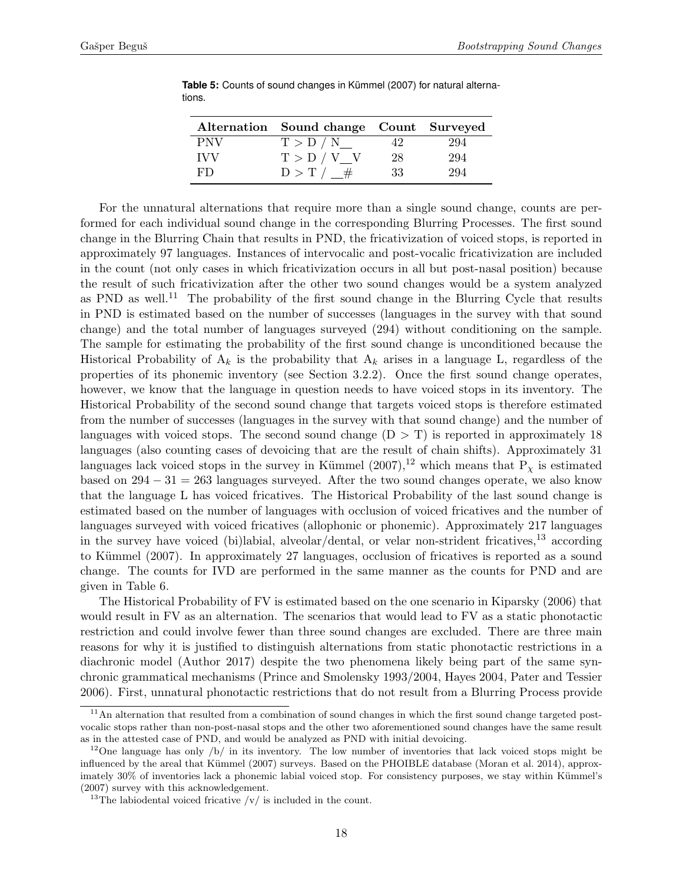|            | Alternation Sound change Count Surveyed |    |     |
|------------|-----------------------------------------|----|-----|
| <b>PNV</b> | T > D / N                               | 42 | 294 |
| <b>IVV</b> | T > D / V V                             | 28 | 294 |
| FD         | $D > T / \_\#$                          | 33 | 294 |

<span id="page-17-0"></span>Table 5: Counts of sound changes in Kümmel (2007) for natural alternations.

For the unnatural alternations that require more than a single sound change, counts are performed for each individual sound change in the corresponding Blurring Processes. The first sound change in the Blurring Chain that results in PND, the fricativization of voiced stops, is reported in approximately 97 languages. Instances of intervocalic and post-vocalic fricativization are included in the count (not only cases in which fricativization occurs in all but post-nasal position) because the result of such fricativization after the other two sound changes would be a system analyzed as PND as well.<sup>[11](#page-17-1)</sup> The probability of the first sound change in the Blurring Cycle that results in PND is estimated based on the number of successes (languages in the survey with that sound change) and the total number of languages surveyed (294) without conditioning on the sample. The sample for estimating the probability of the first sound change is unconditioned because the Historical Probability of  $A_k$  is the probability that  $A_k$  arises in a language L, regardless of the properties of its phonemic inventory (see Section [3.2.2\)](#page-9-3). Once the first sound change operates, however, we know that the language in question needs to have voiced stops in its inventory. The Historical Probability of the second sound change that targets voiced stops is therefore estimated from the number of successes (languages in the survey with that sound change) and the number of languages with voiced stops. The second sound change  $(D > T)$  is reported in approximately 18 languages (also counting cases of devoicing that are the result of chain shifts). Approximately 31 languages lack voiced stops in the survey in Kümmel  $(2007)$ ,<sup>[12](#page-17-2)</sup> which means that P<sub>x</sub> is estimated based on  $294 - 31 = 263$  languages surveyed. After the two sound changes operate, we also know that the language L has voiced fricatives. The Historical Probability of the last sound change is estimated based on the number of languages with occlusion of voiced fricatives and the number of languages surveyed with voiced fricatives (allophonic or phonemic). Approximately 217 languages in the survey have voiced (bi)labial, alveolar/dental, or velar non-strident fricatives,<sup>[13](#page-17-3)</sup> according to Kümmel (2007). In approximately 27 languages, occlusion of fricatives is reported as a sound change. The counts for IVD are performed in the same manner as the counts for PND and are given in Table [6.](#page-19-1)

The Historical Probability of FV is estimated based on the one scenario in Kiparsky (2006) that would result in FV as an alternation. The scenarios that would lead to FV as a static phonotactic restriction and could involve fewer than three sound changes are excluded. There are three main reasons for why it is justified to distinguish alternations from static phonotactic restrictions in a diachronic model (Author 2017) despite the two phenomena likely being part of the same synchronic grammatical mechanisms (Prince and Smolensky 1993/2004, Hayes 2004, Pater and Tessier 2006). First, unnatural phonotactic restrictions that do not result from a Blurring Process provide

<span id="page-17-1"></span> $11$ An alternation that resulted from a combination of sound changes in which the first sound change targeted postvocalic stops rather than non-post-nasal stops and the other two aforementioned sound changes have the same result as in the attested case of PND, and would be analyzed as PND with initial devoicing.

<span id="page-17-2"></span><sup>&</sup>lt;sup>12</sup>One language has only /b/ in its inventory. The low number of inventories that lack voiced stops might be influenced by the areal that Kümmel (2007) surveys. Based on the PHOIBLE database (Moran et al. 2014), approximately 30% of inventories lack a phonemic labial voiced stop. For consistency purposes, we stay within Kümmel's (2007) survey with this acknowledgement.

<span id="page-17-3"></span><sup>&</sup>lt;sup>13</sup>The labiodental voiced fricative  $\sqrt{v}$  is included in the count.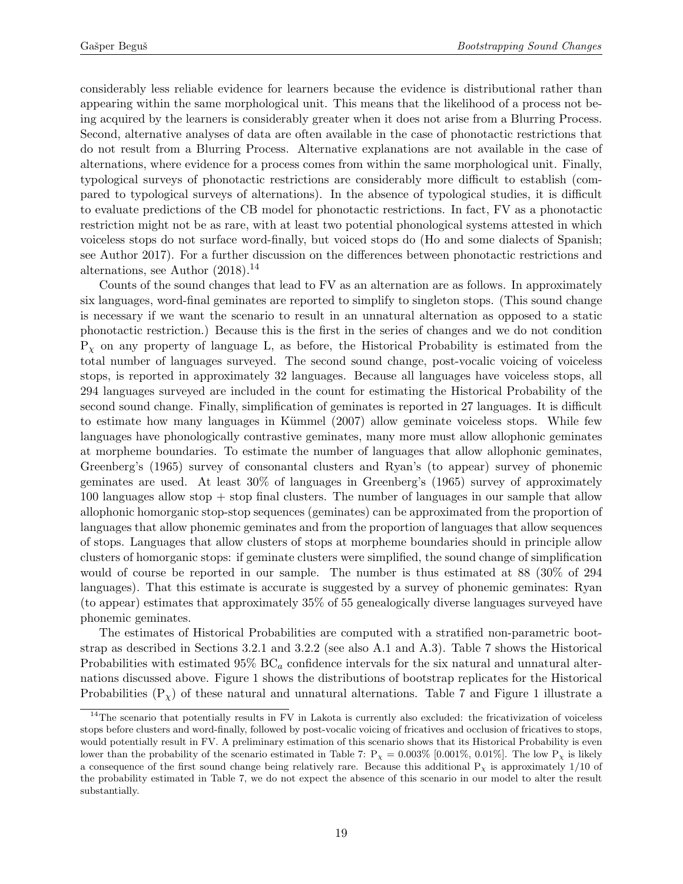considerably less reliable evidence for learners because the evidence is distributional rather than appearing within the same morphological unit. This means that the likelihood of a process not being acquired by the learners is considerably greater when it does not arise from a Blurring Process. Second, alternative analyses of data are often available in the case of phonotactic restrictions that do not result from a Blurring Process. Alternative explanations are not available in the case of alternations, where evidence for a process comes from within the same morphological unit. Finally, typological surveys of phonotactic restrictions are considerably more difficult to establish (compared to typological surveys of alternations). In the absence of typological studies, it is difficult to evaluate predictions of the CB model for phonotactic restrictions. In fact, FV as a phonotactic restriction might not be as rare, with at least two potential phonological systems attested in which voiceless stops do not surface word-finally, but voiced stops do (Ho and some dialects of Spanish; see Author 2017). For a further discussion on the differences between phonotactic restrictions and alternations, see Author  $(2018).<sup>14</sup>$  $(2018).<sup>14</sup>$  $(2018).<sup>14</sup>$ 

Counts of the sound changes that lead to FV as an alternation are as follows. In approximately six languages, word-final geminates are reported to simplify to singleton stops. (This sound change is necessary if we want the scenario to result in an unnatural alternation as opposed to a static phonotactic restriction.) Because this is the first in the series of changes and we do not condition  $P<sub>x</sub>$  on any property of language L, as before, the Historical Probability is estimated from the total number of languages surveyed. The second sound change, post-vocalic voicing of voiceless stops, is reported in approximately 32 languages. Because all languages have voiceless stops, all 294 languages surveyed are included in the count for estimating the Historical Probability of the second sound change. Finally, simplification of geminates is reported in 27 languages. It is difficult to estimate how many languages in Kümmel (2007) allow geminate voiceless stops. While few languages have phonologically contrastive geminates, many more must allow allophonic geminates at morpheme boundaries. To estimate the number of languages that allow allophonic geminates, Greenberg's (1965) survey of consonantal clusters and Ryan's (to appear) survey of phonemic geminates are used. At least 30% of languages in Greenberg's (1965) survey of approximately 100 languages allow stop + stop final clusters. The number of languages in our sample that allow allophonic homorganic stop-stop sequences (geminates) can be approximated from the proportion of languages that allow phonemic geminates and from the proportion of languages that allow sequences of stops. Languages that allow clusters of stops at morpheme boundaries should in principle allow clusters of homorganic stops: if geminate clusters were simplified, the sound change of simplification would of course be reported in our sample. The number is thus estimated at 88 (30% of 294 languages). That this estimate is accurate is suggested by a survey of phonemic geminates: Ryan (to appear) estimates that approximately 35% of 55 genealogically diverse languages surveyed have phonemic geminates.

The estimates of Historical Probabilities are computed with a stratified non-parametric bootstrap as described in Sections [3.2.1](#page-9-2) and [3.2.2](#page-9-3) (see also [A.1](#page-34-1) and [A.3\)](#page-36-0). Table [7](#page-19-2) shows the Historical Probabilities with estimated 95%  $BC_a$  confidence intervals for the six natural and unnatural alternations discussed above. Figure [1](#page-20-0) shows the distributions of bootstrap replicates for the Historical Probabilities  $(P<sub>x</sub>)$  of these natural and unnatural alternations. Table [7](#page-19-2) and Figure [1](#page-20-0) illustrate a

<span id="page-18-0"></span><sup>&</sup>lt;sup>14</sup>The scenario that potentially results in FV in Lakota is currently also excluded: the fricativization of voiceless stops before clusters and word-finally, followed by post-vocalic voicing of fricatives and occlusion of fricatives to stops, would potentially result in FV. A preliminary estimation of this scenario shows that its Historical Probability is even lower than the probability of the scenario estimated in Table [7:](#page-19-2)  $P_{\chi} = 0.003\%$  [0.001%, 0.01%]. The low  $P_{\chi}$  is likely a consequence of the first sound change being relatively rare. Because this additional  $P<sub>\chi</sub>$  is approximately 1/10 of the probability estimated in Table [7,](#page-19-2) we do not expect the absence of this scenario in our model to alter the result substantially.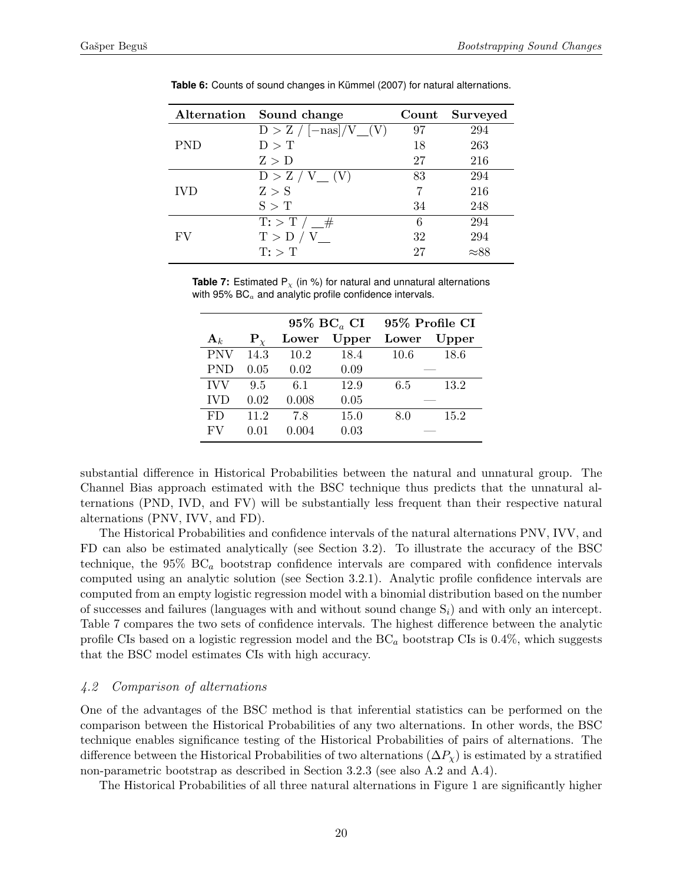|            | Alternation Sound change        | $\mathrm{Count}$ | Surveyed     |
|------------|---------------------------------|------------------|--------------|
|            | $D > Z / [-\text{nas}] / V (V)$ | 97               | 294          |
| <b>PND</b> | D > T                           | 18               | 263          |
|            | Z > D                           | 27               | 216          |
|            | $D > Z / V$ (V)                 | 83               | 294          |
| <b>IVD</b> | Z > S                           |                  | 216          |
|            | S > T                           | 34               | 248          |
|            | $\mathrm{T}$ : > T / $\_\#$     | 6                | 294          |
| FV         | T > D / V                       | 32               | 294          |
|            | $T:$ $\top$                     | 27               | $\approx 88$ |

<span id="page-19-1"></span>Table 6: Counts of sound changes in Kümmel (2007) for natural alternations.

<span id="page-19-2"></span>**Table 7:** Estimated  $P_x$  (in %) for natural and unnatural alternations with  $95\%$  BC $_a$  and analytic profile confidence intervals.

|                |                | 95% $BC_a$ CI |       |       | 95% Profile CI |  |
|----------------|----------------|---------------|-------|-------|----------------|--|
| $\mathbf{A}_k$ | ${\bf P}_\chi$ | Lower         | Upper | Lower | $\bf Upper$    |  |
| <b>PNV</b>     | 14.3           | 10.2          | 18.4  | 10.6  | 18.6           |  |
| <b>PND</b>     | 0.05           | 0.02          | 0.09  |       |                |  |
| <b>IVV</b>     | 9.5            | 6.1           | 12.9  | 6.5   | 13.2           |  |
| <b>IVD</b>     | 0.02           | 0.008         | 0.05  |       |                |  |
| FD             | 11.2           | 7.8           | 15.0  | 8.0   | 15.2           |  |
| FV             | 0.01           | 0.004         | 0.03  |       |                |  |

substantial difference in Historical Probabilities between the natural and unnatural group. The Channel Bias approach estimated with the BSC technique thus predicts that the unnatural alternations (PND, IVD, and FV) will be substantially less frequent than their respective natural alternations (PNV, IVV, and FD).

The Historical Probabilities and confidence intervals of the natural alternations PNV, IVV, and FD can also be estimated analytically (see Section [3.2\)](#page-9-4). To illustrate the accuracy of the BSC technique, the  $95\%$  BC<sub>a</sub> bootstrap confidence intervals are compared with confidence intervals computed using an analytic solution (see Section [3.2.1\)](#page-9-2). Analytic profile confidence intervals are computed from an empty logistic regression model with a binomial distribution based on the number of successes and failures (languages with and without sound change  $S_i$ ) and with only an intercept. Table [7](#page-19-2) compares the two sets of confidence intervals. The highest difference between the analytic profile CIs based on a logistic regression model and the  $BC_a$  bootstrap CIs is 0.4%, which suggests that the BSC model estimates CIs with high accuracy.

### <span id="page-19-0"></span>4.2 Comparison of alternations

One of the advantages of the BSC method is that inferential statistics can be performed on the comparison between the Historical Probabilities of any two alternations. In other words, the BSC technique enables significance testing of the Historical Probabilities of pairs of alternations. The difference between the Historical Probabilities of two alternations  $(\Delta P_{\gamma})$  is estimated by a stratified non-parametric bootstrap as described in Section [3.2.3](#page-11-3) (see also [A.2](#page-34-2) and [A.4\)](#page-36-1).

The Historical Probabilities of all three natural alternations in Figure [1](#page-20-0) are significantly higher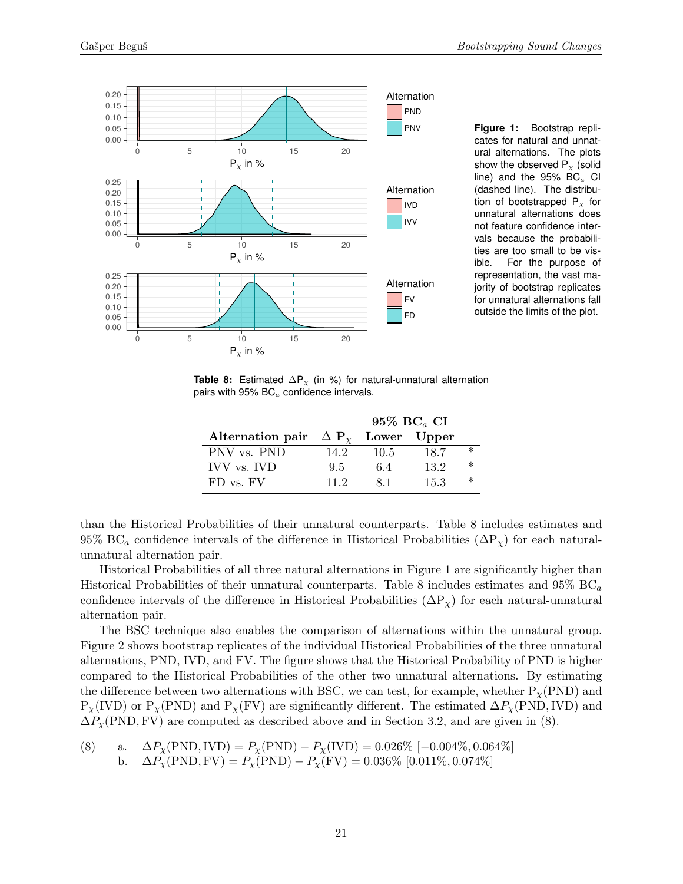<span id="page-20-0"></span>

**Figure 1:** Bootstrap replicates for natural and unnatural alternations. The plots show the observed  $P<sub>x</sub>$  (solid line) and the  $95\%$  BC $_a$  CI (dashed line). The distribution of bootstrapped  $P<sub>x</sub>$  for unnatural alternations does not feature confidence intervals because the probabilities are too small to be visible. For the purpose of representation, the vast majority of bootstrap replicates for unnatural alternations fall outside the limits of the plot.

<span id="page-20-1"></span>**Table 8:** Estimated  $\Delta P_{\chi}$  (in %) for natural-unnatural alternation pairs with 95%  $BC<sub>a</sub>$  confidence intervals.

|                  | 95% $BC_a$ CI           |      |             |        |  |
|------------------|-------------------------|------|-------------|--------|--|
| Alternation pair | $\Delta$ P <sub>y</sub> |      | Lower Upper |        |  |
| PNV vs. PND      | 14.2                    | 10.5 | 18.7        | $\ast$ |  |
| IVV vs. IVD      | 9.5                     | 64   | 13.2        | $\ast$ |  |
| FD vs. FV        | 11.2                    | 81   | 15.3        | $\ast$ |  |

than the Historical Probabilities of their unnatural counterparts. Table [8](#page-20-1) includes estimates and 95% BC<sub>a</sub> confidence intervals of the difference in Historical Probabilities ( $\Delta P_{\chi}$ ) for each naturalunnatural alternation pair.

Historical Probabilities of all three natural alternations in Figure [1](#page-20-0) are significantly higher than Historical Probabilities of their unnatural counterparts. Table [8](#page-20-1) includes estimates and  $95\% \text{ BC}_a$ confidence intervals of the difference in Historical Probabilities  $(\Delta P_{\chi})$  for each natural-unnatural alternation pair.

The BSC technique also enables the comparison of alternations within the unnatural group. Figure [2](#page-21-1) shows bootstrap replicates of the individual Historical Probabilities of the three unnatural alternations, PND, IVD, and FV. The figure shows that the Historical Probability of PND is higher compared to the Historical Probabilities of the other two unnatural alternations. By estimating the difference between two alternations with BSC, we can test, for example, whether  $P_{\chi}(PND)$  and  $P_Y(VD)$  or  $P_Y(PND)$  and  $P_Y(FV)$  are significantly different. The estimated  $\Delta P_Y(PND,IVD)$  and  $\Delta P_{\chi}(\text{PND}, \text{FV})$  are computed as described above and in Section [3.2,](#page-9-4) and are given in [\(8\).](#page-20-2)

<span id="page-20-3"></span><span id="page-20-2"></span>(8) a. 
$$
\Delta P_{\chi}(\text{PND}, \text{IVD}) = P_{\chi}(\text{PND}) - P_{\chi}(\text{IVD}) = 0.026\%
$$
 [-0.004%, 0.064%]  
b.  $\Delta P_{\chi}(\text{PND}, \text{FV}) = P_{\chi}(\text{PND}) - P_{\chi}(\text{FV}) = 0.036\%$  [0.011%, 0.074%]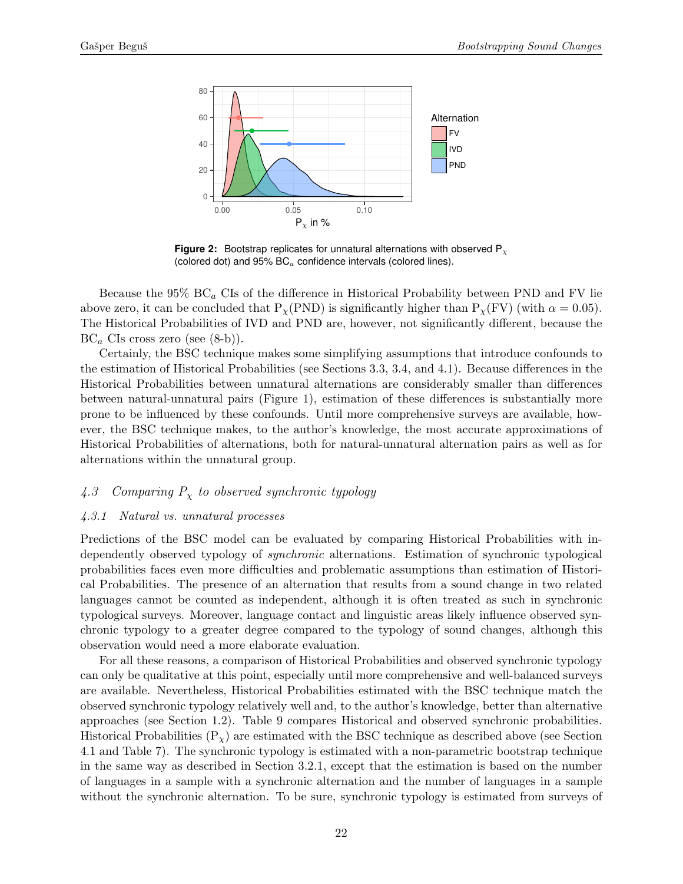<span id="page-21-1"></span>

**Figure 2:** Bootstrap replicates for unnatural alternations with observed P<sub>x</sub> (colored dot) and  $95\%$  BC<sub>a</sub> confidence intervals (colored lines).

Because the  $95\%$  BC<sub>a</sub> CIs of the difference in Historical Probability between PND and FV lie above zero, it can be concluded that  $P_{\chi}(\text{PND})$  is significantly higher than  $P_{\chi}(\text{FV})$  (with  $\alpha = 0.05$ ). The Historical Probabilities of IVD and PND are, however, not significantly different, because the  $BC_a$  CIs cross zero (see  $(8-b)$ ).

Certainly, the BSC technique makes some simplifying assumptions that introduce confounds to the estimation of Historical Probabilities (see Sections [3.3,](#page-11-0) [3.4,](#page-12-0) and [4.1\)](#page-15-0). Because differences in the Historical Probabilities between unnatural alternations are considerably smaller than differences between natural-unnatural pairs (Figure [1\)](#page-20-0), estimation of these differences is substantially more prone to be influenced by these confounds. Until more comprehensive surveys are available, however, the BSC technique makes, to the author's knowledge, the most accurate approximations of Historical Probabilities of alternations, both for natural-unnatural alternation pairs as well as for alternations within the unnatural group.

## <span id="page-21-0"></span>4.3 Comparing  $P_x$  to observed synchronic typology

### <span id="page-21-2"></span>4.3.1 Natural vs. unnatural processes

Predictions of the BSC model can be evaluated by comparing Historical Probabilities with independently observed typology of synchronic alternations. Estimation of synchronic typological probabilities faces even more difficulties and problematic assumptions than estimation of Historical Probabilities. The presence of an alternation that results from a sound change in two related languages cannot be counted as independent, although it is often treated as such in synchronic typological surveys. Moreover, language contact and linguistic areas likely influence observed synchronic typology to a greater degree compared to the typology of sound changes, although this observation would need a more elaborate evaluation.

For all these reasons, a comparison of Historical Probabilities and observed synchronic typology can only be qualitative at this point, especially until more comprehensive and well-balanced surveys are available. Nevertheless, Historical Probabilities estimated with the BSC technique match the observed synchronic typology relatively well and, to the author's knowledge, better than alternative approaches (see Section [1.2\)](#page-2-0). Table [9](#page-22-1) compares Historical and observed synchronic probabilities. Historical Probabilities  $(P_x)$  are estimated with the BSC technique as described above (see Section [4.1](#page-15-0) and Table [7\)](#page-19-2). The synchronic typology is estimated with a non-parametric bootstrap technique in the same way as described in Section [3.2.1,](#page-9-2) except that the estimation is based on the number of languages in a sample with a synchronic alternation and the number of languages in a sample without the synchronic alternation. To be sure, synchronic typology is estimated from surveys of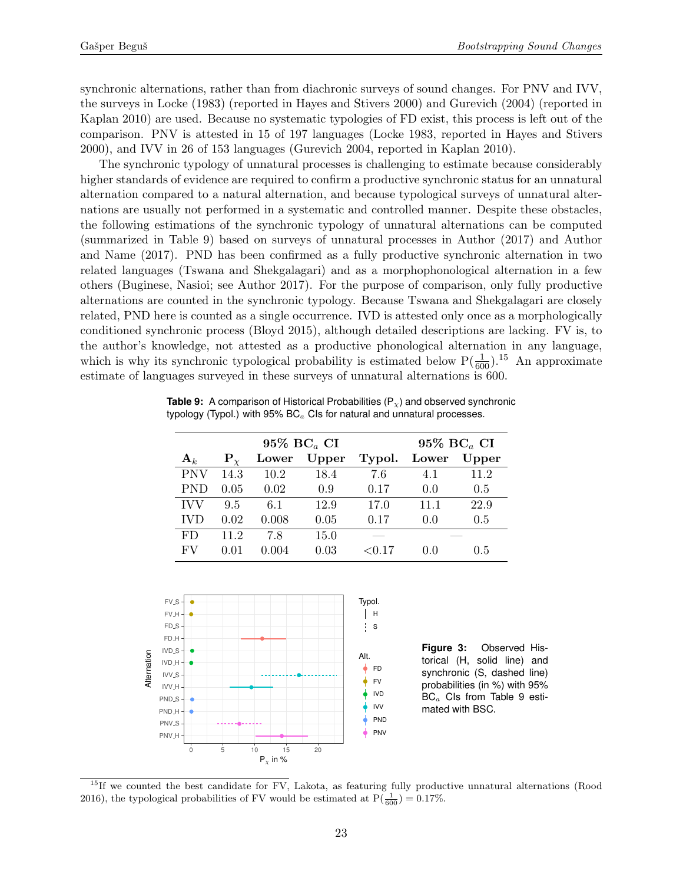synchronic alternations, rather than from diachronic surveys of sound changes. For PNV and IVV, the surveys in Locke (1983) (reported in Hayes and Stivers 2000) and Gurevich (2004) (reported in Kaplan 2010) are used. Because no systematic typologies of FD exist, this process is left out of the comparison. PNV is attested in 15 of 197 languages (Locke 1983, reported in Hayes and Stivers 2000), and IVV in 26 of 153 languages (Gurevich 2004, reported in Kaplan 2010).

The synchronic typology of unnatural processes is challenging to estimate because considerably higher standards of evidence are required to confirm a productive synchronic status for an unnatural alternation compared to a natural alternation, and because typological surveys of unnatural alternations are usually not performed in a systematic and controlled manner. Despite these obstacles, the following estimations of the synchronic typology of unnatural alternations can be computed (summarized in Table [9\)](#page-22-1) based on surveys of unnatural processes in Author (2017) and Author and Name (2017). PND has been confirmed as a fully productive synchronic alternation in two related languages (Tswana and Shekgalagari) and as a morphophonological alternation in a few others (Buginese, Nasioi; see Author 2017). For the purpose of comparison, only fully productive alternations are counted in the synchronic typology. Because Tswana and Shekgalagari are closely related, PND here is counted as a single occurrence. IVD is attested only once as a morphologically conditioned synchronic process (Bloyd 2015), although detailed descriptions are lacking. FV is, to the author's knowledge, not attested as a productive phonological alternation in any language, which is why its synchronic typological probability is estimated below  $P(\frac{1}{600})$ .<sup>[15](#page-22-2)</sup> An approximate estimate of languages surveyed in these surveys of unnatural alternations is 600.

| $95\%$ BC <sub>a</sub> CI |                |       |       |           | 95% $BC_a$ CI |       |  |
|---------------------------|----------------|-------|-------|-----------|---------------|-------|--|
| ${\bf A}_k$               | ${\bf P}_\chi$ | Lower | Upper | Typol.    | Lower         | Upper |  |
| <b>PNV</b>                | 14.3           | 10.2  | 18.4  | 7.6       | 4.1           | 11.2  |  |
| <b>PND</b>                | 0.05           | 0.02  | 0.9   | 0.17      | 0.0           | 0.5   |  |
| <b>IVV</b>                | 9.5            | 6.1   | 12.9  | 17.0      | 11.1          | 22.9  |  |
| <b>IVD</b>                | 0.02           | 0.008 | 0.05  | 0.17      | 0.0           | 0.5   |  |
| FD                        | 11.2           | 7.8   | 15.0  |           |               |       |  |
| FV                        | 0.01           | 0.004 | 0.03  | ${<}0.17$ | (1.0)         | 0.5   |  |

<span id="page-22-1"></span>**Table 9:** A comparison of Historical Probabilities (P<sub>x</sub>) and observed synchronic typology (Typol.) with  $95\%$  BC $_{a}$  CIs for natural and unnatural processes.

<span id="page-22-0"></span>

<span id="page-22-2"></span><sup>15</sup>If we counted the best candidate for FV, Lakota, as featuring fully productive unnatural alternations (Rood 2016), the typological probabilities of FV would be estimated at  $P(\frac{1}{600}) = 0.17\%$ .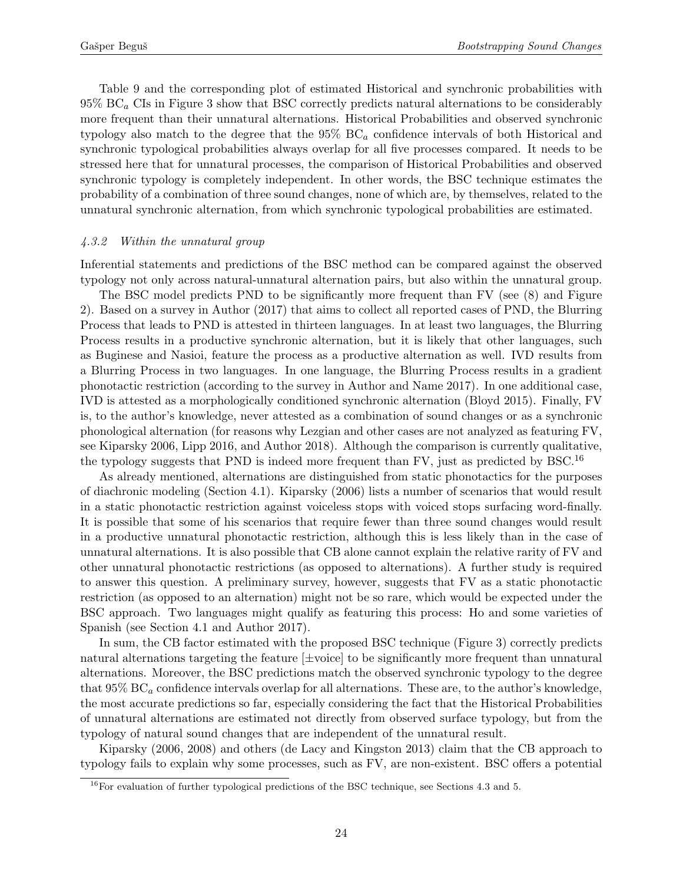Table [9](#page-22-1) and the corresponding plot of estimated Historical and synchronic probabilities with  $95\%$  BC<sub>a</sub> CIs in Figure [3](#page-22-0) show that BSC correctly predicts natural alternations to be considerably more frequent than their unnatural alternations. Historical Probabilities and observed synchronic typology also match to the degree that the  $95\%$  BC<sub>a</sub> confidence intervals of both Historical and synchronic typological probabilities always overlap for all five processes compared. It needs to be stressed here that for unnatural processes, the comparison of Historical Probabilities and observed synchronic typology is completely independent. In other words, the BSC technique estimates the probability of a combination of three sound changes, none of which are, by themselves, related to the unnatural synchronic alternation, from which synchronic typological probabilities are estimated.

#### 4.3.2 Within the unnatural group

Inferential statements and predictions of the BSC method can be compared against the observed typology not only across natural-unnatural alternation pairs, but also within the unnatural group.

The BSC model predicts PND to be significantly more frequent than FV (see [\(8\)](#page-20-2) and Figure [2\)](#page-21-1). Based on a survey in Author (2017) that aims to collect all reported cases of PND, the Blurring Process that leads to PND is attested in thirteen languages. In at least two languages, the Blurring Process results in a productive synchronic alternation, but it is likely that other languages, such as Buginese and Nasioi, feature the process as a productive alternation as well. IVD results from a Blurring Process in two languages. In one language, the Blurring Process results in a gradient phonotactic restriction (according to the survey in Author and Name 2017). In one additional case, IVD is attested as a morphologically conditioned synchronic alternation (Bloyd 2015). Finally, FV is, to the author's knowledge, never attested as a combination of sound changes or as a synchronic phonological alternation (for reasons why Lezgian and other cases are not analyzed as featuring FV, see Kiparsky 2006, Lipp 2016, and Author 2018). Although the comparison is currently qualitative, the typology suggests that PND is indeed more frequent than FV, just as predicted by BSC.<sup>[16](#page-23-0)</sup>

As already mentioned, alternations are distinguished from static phonotactics for the purposes of diachronic modeling (Section [4.1\)](#page-15-0). Kiparsky (2006) lists a number of scenarios that would result in a static phonotactic restriction against voiceless stops with voiced stops surfacing word-finally. It is possible that some of his scenarios that require fewer than three sound changes would result in a productive unnatural phonotactic restriction, although this is less likely than in the case of unnatural alternations. It is also possible that CB alone cannot explain the relative rarity of FV and other unnatural phonotactic restrictions (as opposed to alternations). A further study is required to answer this question. A preliminary survey, however, suggests that FV as a static phonotactic restriction (as opposed to an alternation) might not be so rare, which would be expected under the BSC approach. Two languages might qualify as featuring this process: Ho and some varieties of Spanish (see Section [4.1](#page-15-0) and Author 2017).

In sum, the CB factor estimated with the proposed BSC technique (Figure [3\)](#page-22-0) correctly predicts natural alternations targeting the feature [±voice] to be significantly more frequent than unnatural alternations. Moreover, the BSC predictions match the observed synchronic typology to the degree that  $95\%$  BC<sub>a</sub> confidence intervals overlap for all alternations. These are, to the author's knowledge, the most accurate predictions so far, especially considering the fact that the Historical Probabilities of unnatural alternations are estimated not directly from observed surface typology, but from the typology of natural sound changes that are independent of the unnatural result.

Kiparsky (2006, 2008) and others (de Lacy and Kingston 2013) claim that the CB approach to typology fails to explain why some processes, such as FV, are non-existent. BSC offers a potential

<span id="page-23-0"></span> $^{16}$ For evaluation of further typological predictions of the BSC technique, see Sections [4.3](#page-21-0) and [5.](#page-24-0)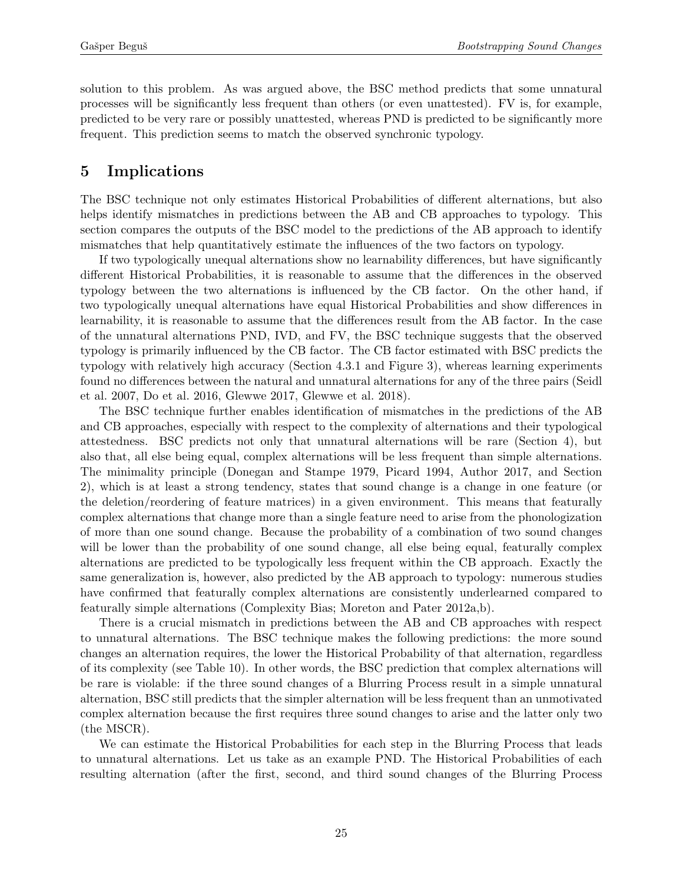solution to this problem. As was argued above, the BSC method predicts that some unnatural processes will be significantly less frequent than others (or even unattested). FV is, for example, predicted to be very rare or possibly unattested, whereas PND is predicted to be significantly more frequent. This prediction seems to match the observed synchronic typology.

## <span id="page-24-0"></span>5 Implications

The BSC technique not only estimates Historical Probabilities of different alternations, but also helps identify mismatches in predictions between the AB and CB approaches to typology. This section compares the outputs of the BSC model to the predictions of the AB approach to identify mismatches that help quantitatively estimate the influences of the two factors on typology.

If two typologically unequal alternations show no learnability differences, but have significantly different Historical Probabilities, it is reasonable to assume that the differences in the observed typology between the two alternations is influenced by the CB factor. On the other hand, if two typologically unequal alternations have equal Historical Probabilities and show differences in learnability, it is reasonable to assume that the differences result from the AB factor. In the case of the unnatural alternations PND, IVD, and FV, the BSC technique suggests that the observed typology is primarily influenced by the CB factor. The CB factor estimated with BSC predicts the typology with relatively high accuracy (Section [4.3.1](#page-21-2) and Figure [3\)](#page-22-0), whereas learning experiments found no differences between the natural and unnatural alternations for any of the three pairs (Seidl et al. 2007, Do et al. 2016, Glewwe 2017, Glewwe et al. 2018).

The BSC technique further enables identification of mismatches in the predictions of the AB and CB approaches, especially with respect to the complexity of alternations and their typological attestedness. BSC predicts not only that unnatural alternations will be rare (Section [4\)](#page-14-0), but also that, all else being equal, complex alternations will be less frequent than simple alternations. The minimality principle (Donegan and Stampe 1979, Picard 1994, Author 2017, and Section [2\)](#page-5-0), which is at least a strong tendency, states that sound change is a change in one feature (or the deletion/reordering of feature matrices) in a given environment. This means that featurally complex alternations that change more than a single feature need to arise from the phonologization of more than one sound change. Because the probability of a combination of two sound changes will be lower than the probability of one sound change, all else being equal, featurally complex alternations are predicted to be typologically less frequent within the CB approach. Exactly the same generalization is, however, also predicted by the AB approach to typology: numerous studies have confirmed that featurally complex alternations are consistently underlearned compared to featurally simple alternations (Complexity Bias; Moreton and Pater 2012a,b).

There is a crucial mismatch in predictions between the AB and CB approaches with respect to unnatural alternations. The BSC technique makes the following predictions: the more sound changes an alternation requires, the lower the Historical Probability of that alternation, regardless of its complexity (see Table [10\)](#page-25-0). In other words, the BSC prediction that complex alternations will be rare is violable: if the three sound changes of a Blurring Process result in a simple unnatural alternation, BSC still predicts that the simpler alternation will be less frequent than an unmotivated complex alternation because the first requires three sound changes to arise and the latter only two (the MSCR).

We can estimate the Historical Probabilities for each step in the Blurring Process that leads to unnatural alternations. Let us take as an example PND. The Historical Probabilities of each resulting alternation (after the first, second, and third sound changes of the Blurring Process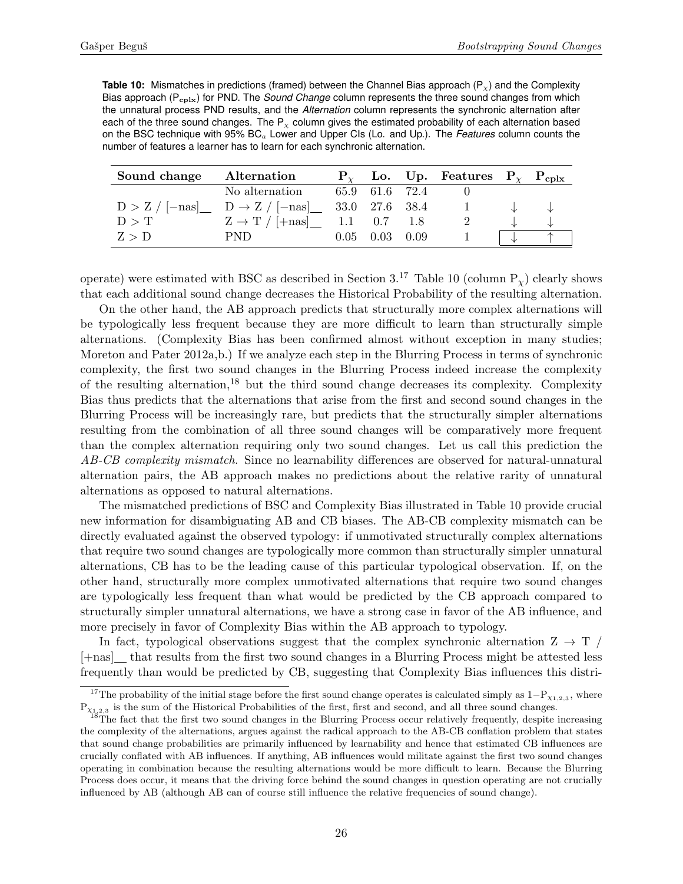<span id="page-25-0"></span>**Table 10:** Mismatches in predictions (framed) between the Channel Bias approach (P<sub>x</sub>) and the Complexity Bias approach (P<sub>cplx</sub>) for PND. The *Sound Change* column represents the three sound changes from which the unnatural process PND results, and the *Alternation* column represents the synchronic alternation after each of the three sound changes. The  $P_x$  column gives the estimated probability of each alternation based on the BSC technique with 95% BC<sup>a</sup> Lower and Upper CIs (Lo. and Up.). The *Features* column counts the number of features a learner has to learn for each synchronic alternation.

| Sound change Alternation |                                                            |                |                      | $P_{\gamma}$ Lo. Up. Features $P_{\gamma}$ $P_{\text{cplx}}$ |  |
|--------------------------|------------------------------------------------------------|----------------|----------------------|--------------------------------------------------------------|--|
|                          | No alternation                                             | 65.9 61.6 72.4 |                      |                                                              |  |
|                          | $D > Z / [-nas]$ $D \rightarrow Z / [-nas]$ 33.0 27.6 38.4 |                |                      | $\mathbf{1}$                                                 |  |
| D > T                    | $Z \rightarrow T / [+nas]$ 1.1 0.7 1.8                     |                |                      |                                                              |  |
| Z > D                    | PND.                                                       |                | $0.05$ $0.03$ $0.09$ |                                                              |  |

operate) were estimated with BSC as described in Section  $3^{17}$  $3^{17}$  $3^{17}$  Table [10](#page-25-0) (column  $P_y$ ) clearly shows that each additional sound change decreases the Historical Probability of the resulting alternation.

On the other hand, the AB approach predicts that structurally more complex alternations will be typologically less frequent because they are more difficult to learn than structurally simple alternations. (Complexity Bias has been confirmed almost without exception in many studies; Moreton and Pater 2012a,b.) If we analyze each step in the Blurring Process in terms of synchronic complexity, the first two sound changes in the Blurring Process indeed increase the complexity of the resulting alternation,[18](#page-25-2) but the third sound change decreases its complexity. Complexity Bias thus predicts that the alternations that arise from the first and second sound changes in the Blurring Process will be increasingly rare, but predicts that the structurally simpler alternations resulting from the combination of all three sound changes will be comparatively more frequent than the complex alternation requiring only two sound changes. Let us call this prediction the AB-CB complexity mismatch. Since no learnability differences are observed for natural-unnatural alternation pairs, the AB approach makes no predictions about the relative rarity of unnatural alternations as opposed to natural alternations.

The mismatched predictions of BSC and Complexity Bias illustrated in Table [10](#page-25-0) provide crucial new information for disambiguating AB and CB biases. The AB-CB complexity mismatch can be directly evaluated against the observed typology: if unmotivated structurally complex alternations that require two sound changes are typologically more common than structurally simpler unnatural alternations, CB has to be the leading cause of this particular typological observation. If, on the other hand, structurally more complex unmotivated alternations that require two sound changes are typologically less frequent than what would be predicted by the CB approach compared to structurally simpler unnatural alternations, we have a strong case in favor of the AB influence, and more precisely in favor of Complexity Bias within the AB approach to typology.

In fact, typological observations suggest that the complex synchronic alternation  $Z \rightarrow T$ [+nas] that results from the first two sound changes in a Blurring Process might be attested less frequently than would be predicted by CB, suggesting that Complexity Bias influences this distri-

<span id="page-25-1"></span><sup>&</sup>lt;sup>17</sup>The probability of the initial stage before the first sound change operates is calculated simply as  $1-P_{\chi_{1,2,3}}$ , where  $P_{X_{1,2,3}}$  is the sum of the Historical Probabilities of the first, first and second, and all three sound changes.

<span id="page-25-2"></span><sup>18</sup>The fact that the first two sound changes in the Blurring Process occur relatively frequently, despite increasing the complexity of the alternations, argues against the radical approach to the AB-CB conflation problem that states that sound change probabilities are primarily influenced by learnability and hence that estimated CB influences are crucially conflated with AB influences. If anything, AB influences would militate against the first two sound changes operating in combination because the resulting alternations would be more difficult to learn. Because the Blurring Process does occur, it means that the driving force behind the sound changes in question operating are not crucially influenced by AB (although AB can of course still influence the relative frequencies of sound change).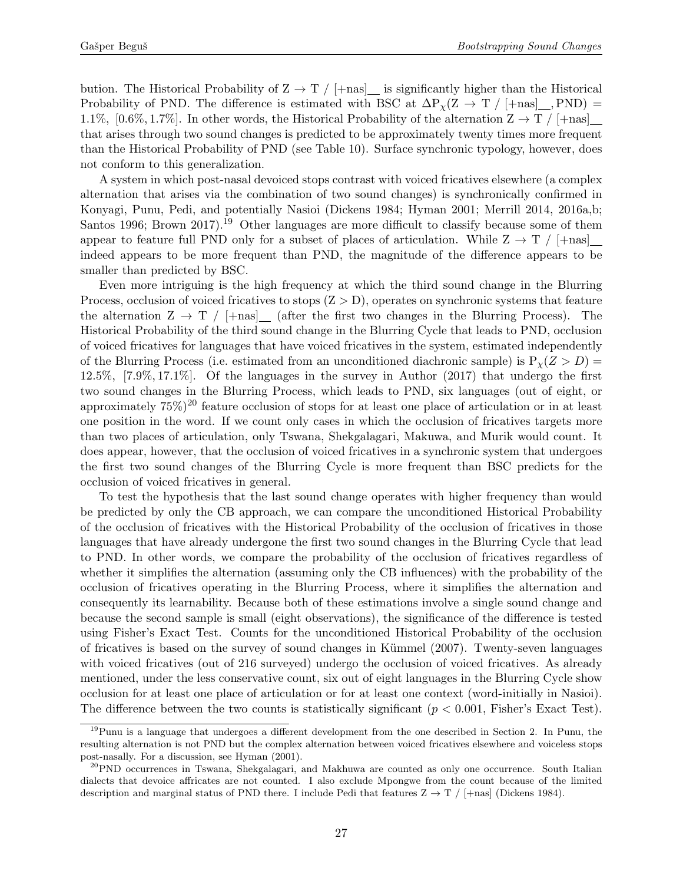bution. The Historical Probability of  $Z \to T / (+\text{nas}]$  is significantly higher than the Historical Probability of PND. The difference is estimated with BSC at  $\Delta P_{\chi}(Z \to T / [+nas]_{\text{R}}) =$ 1.1%, [0.6%, 1.7%]. In other words, the Historical Probability of the alternation  $Z \to T / +\text{nas}$ ] that arises through two sound changes is predicted to be approximately twenty times more frequent than the Historical Probability of PND (see Table [10\)](#page-25-0). Surface synchronic typology, however, does not conform to this generalization.

A system in which post-nasal devoiced stops contrast with voiced fricatives elsewhere (a complex alternation that arises via the combination of two sound changes) is synchronically confirmed in Konyagi, Punu, Pedi, and potentially Nasioi (Dickens 1984; Hyman 2001; Merrill 2014, 2016a,b; Santos [19](#page-26-0)96; Brown 2017).<sup>19</sup> Other languages are more difficult to classify because some of them appear to feature full PND only for a subset of places of articulation. While  $Z \rightarrow T / +$ nas indeed appears to be more frequent than PND, the magnitude of the difference appears to be smaller than predicted by BSC.

Even more intriguing is the high frequency at which the third sound change in the Blurring Process, occlusion of voiced fricatives to stops  $(Z > D)$ , operates on synchronic systems that feature the alternation  $Z \to T / |+n s|$  (after the first two changes in the Blurring Process). The Historical Probability of the third sound change in the Blurring Cycle that leads to PND, occlusion of voiced fricatives for languages that have voiced fricatives in the system, estimated independently of the Blurring Process (i.e. estimated from an unconditioned diachronic sample) is  $P_{\chi}(Z > D)$  = 12.5%, [7.9%, 17.1%]. Of the languages in the survey in Author (2017) that undergo the first two sound changes in the Blurring Process, which leads to PND, six languages (out of eight, or approximately  $75\%)^{20}$  $75\%)^{20}$  $75\%)^{20}$  feature occlusion of stops for at least one place of articulation or in at least one position in the word. If we count only cases in which the occlusion of fricatives targets more than two places of articulation, only Tswana, Shekgalagari, Makuwa, and Murik would count. It does appear, however, that the occlusion of voiced fricatives in a synchronic system that undergoes the first two sound changes of the Blurring Cycle is more frequent than BSC predicts for the occlusion of voiced fricatives in general.

To test the hypothesis that the last sound change operates with higher frequency than would be predicted by only the CB approach, we can compare the unconditioned Historical Probability of the occlusion of fricatives with the Historical Probability of the occlusion of fricatives in those languages that have already undergone the first two sound changes in the Blurring Cycle that lead to PND. In other words, we compare the probability of the occlusion of fricatives regardless of whether it simplifies the alternation (assuming only the CB influences) with the probability of the occlusion of fricatives operating in the Blurring Process, where it simplifies the alternation and consequently its learnability. Because both of these estimations involve a single sound change and because the second sample is small (eight observations), the significance of the difference is tested using Fisher's Exact Test. Counts for the unconditioned Historical Probability of the occlusion of fricatives is based on the survey of sound changes in Kümmel (2007). Twenty-seven languages with voiced fricatives (out of 216 surveyed) undergo the occlusion of voiced fricatives. As already mentioned, under the less conservative count, six out of eight languages in the Blurring Cycle show occlusion for at least one place of articulation or for at least one context (word-initially in Nasioi). The difference between the two counts is statistically significant ( $p < 0.001$ , Fisher's Exact Test).

<span id="page-26-0"></span> $19$ Punu is a language that undergoes a different development from the one described in Section [2.](#page-5-0) In Punu, the resulting alternation is not PND but the complex alternation between voiced fricatives elsewhere and voiceless stops post-nasally. For a discussion, see Hyman (2001).

<span id="page-26-1"></span><sup>&</sup>lt;sup>20</sup>PND occurrences in Tswana, Shekgalagari, and Makhuwa are counted as only one occurrence. South Italian dialects that devoice affricates are not counted. I also exclude Mpongwe from the count because of the limited description and marginal status of PND there. I include Pedi that features  $Z \rightarrow T / \pm \text{nas}$  (Dickens 1984).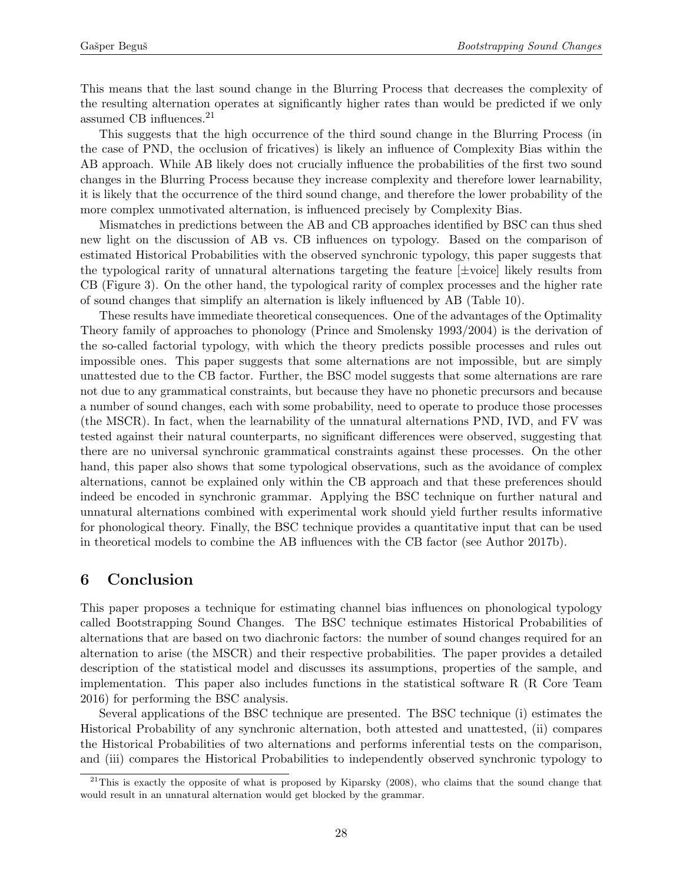This means that the last sound change in the Blurring Process that decreases the complexity of the resulting alternation operates at significantly higher rates than would be predicted if we only assumed CB influences.[21](#page-27-0)

This suggests that the high occurrence of the third sound change in the Blurring Process (in the case of PND, the occlusion of fricatives) is likely an influence of Complexity Bias within the AB approach. While AB likely does not crucially influence the probabilities of the first two sound changes in the Blurring Process because they increase complexity and therefore lower learnability, it is likely that the occurrence of the third sound change, and therefore the lower probability of the more complex unmotivated alternation, is influenced precisely by Complexity Bias.

Mismatches in predictions between the AB and CB approaches identified by BSC can thus shed new light on the discussion of AB vs. CB influences on typology. Based on the comparison of estimated Historical Probabilities with the observed synchronic typology, this paper suggests that the typological rarity of unnatural alternations targeting the feature  $[\pm \text{voice}]$  likely results from CB (Figure [3\)](#page-22-0). On the other hand, the typological rarity of complex processes and the higher rate of sound changes that simplify an alternation is likely influenced by AB (Table [10\)](#page-25-0).

These results have immediate theoretical consequences. One of the advantages of the Optimality Theory family of approaches to phonology (Prince and Smolensky 1993/2004) is the derivation of the so-called factorial typology, with which the theory predicts possible processes and rules out impossible ones. This paper suggests that some alternations are not impossible, but are simply unattested due to the CB factor. Further, the BSC model suggests that some alternations are rare not due to any grammatical constraints, but because they have no phonetic precursors and because a number of sound changes, each with some probability, need to operate to produce those processes (the MSCR). In fact, when the learnability of the unnatural alternations PND, IVD, and FV was tested against their natural counterparts, no significant differences were observed, suggesting that there are no universal synchronic grammatical constraints against these processes. On the other hand, this paper also shows that some typological observations, such as the avoidance of complex alternations, cannot be explained only within the CB approach and that these preferences should indeed be encoded in synchronic grammar. Applying the BSC technique on further natural and unnatural alternations combined with experimental work should yield further results informative for phonological theory. Finally, the BSC technique provides a quantitative input that can be used in theoretical models to combine the AB influences with the CB factor (see Author 2017b).

# 6 Conclusion

This paper proposes a technique for estimating channel bias influences on phonological typology called Bootstrapping Sound Changes. The BSC technique estimates Historical Probabilities of alternations that are based on two diachronic factors: the number of sound changes required for an alternation to arise (the MSCR) and their respective probabilities. The paper provides a detailed description of the statistical model and discusses its assumptions, properties of the sample, and implementation. This paper also includes functions in the statistical software R (R Core Team 2016) for performing the BSC analysis.

Several applications of the BSC technique are presented. The BSC technique (i) estimates the Historical Probability of any synchronic alternation, both attested and unattested, (ii) compares the Historical Probabilities of two alternations and performs inferential tests on the comparison, and (iii) compares the Historical Probabilities to independently observed synchronic typology to

<span id="page-27-0"></span> $21$ This is exactly the opposite of what is proposed by Kiparsky (2008), who claims that the sound change that would result in an unnatural alternation would get blocked by the grammar.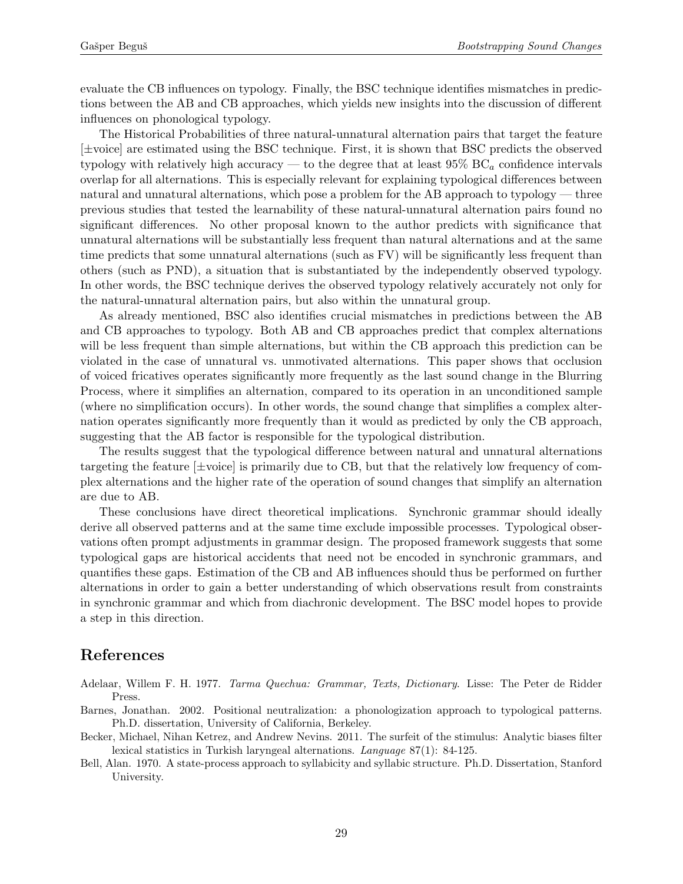evaluate the CB influences on typology. Finally, the BSC technique identifies mismatches in predictions between the AB and CB approaches, which yields new insights into the discussion of different influences on phonological typology.

The Historical Probabilities of three natural-unnatural alternation pairs that target the feature [±voice] are estimated using the BSC technique. First, it is shown that BSC predicts the observed typology with relatively high accuracy — to the degree that at least  $95\%$  BC<sub>a</sub> confidence intervals overlap for all alternations. This is especially relevant for explaining typological differences between natural and unnatural alternations, which pose a problem for the AB approach to typology — three previous studies that tested the learnability of these natural-unnatural alternation pairs found no significant differences. No other proposal known to the author predicts with significance that unnatural alternations will be substantially less frequent than natural alternations and at the same time predicts that some unnatural alternations (such as FV) will be significantly less frequent than others (such as PND), a situation that is substantiated by the independently observed typology. In other words, the BSC technique derives the observed typology relatively accurately not only for the natural-unnatural alternation pairs, but also within the unnatural group.

As already mentioned, BSC also identifies crucial mismatches in predictions between the AB and CB approaches to typology. Both AB and CB approaches predict that complex alternations will be less frequent than simple alternations, but within the CB approach this prediction can be violated in the case of unnatural vs. unmotivated alternations. This paper shows that occlusion of voiced fricatives operates significantly more frequently as the last sound change in the Blurring Process, where it simplifies an alternation, compared to its operation in an unconditioned sample (where no simplification occurs). In other words, the sound change that simplifies a complex alternation operates significantly more frequently than it would as predicted by only the CB approach, suggesting that the AB factor is responsible for the typological distribution.

The results suggest that the typological difference between natural and unnatural alternations targeting the feature  $[\pm \text{voice}]$  is primarily due to CB, but that the relatively low frequency of complex alternations and the higher rate of the operation of sound changes that simplify an alternation are due to AB.

These conclusions have direct theoretical implications. Synchronic grammar should ideally derive all observed patterns and at the same time exclude impossible processes. Typological observations often prompt adjustments in grammar design. The proposed framework suggests that some typological gaps are historical accidents that need not be encoded in synchronic grammars, and quantifies these gaps. Estimation of the CB and AB influences should thus be performed on further alternations in order to gain a better understanding of which observations result from constraints in synchronic grammar and which from diachronic development. The BSC model hopes to provide a step in this direction.

# References

Adelaar, Willem F. H. 1977. Tarma Quechua: Grammar, Texts, Dictionary. Lisse: The Peter de Ridder Press.

- Barnes, Jonathan. 2002. Positional neutralization: a phonologization approach to typological patterns. Ph.D. dissertation, University of California, Berkeley.
- Becker, Michael, Nihan Ketrez, and Andrew Nevins. 2011. The surfeit of the stimulus: Analytic biases filter lexical statistics in Turkish laryngeal alternations. Language 87(1): 84-125.
- Bell, Alan. 1970. A state-process approach to syllabicity and syllabic structure. Ph.D. Dissertation, Stanford University.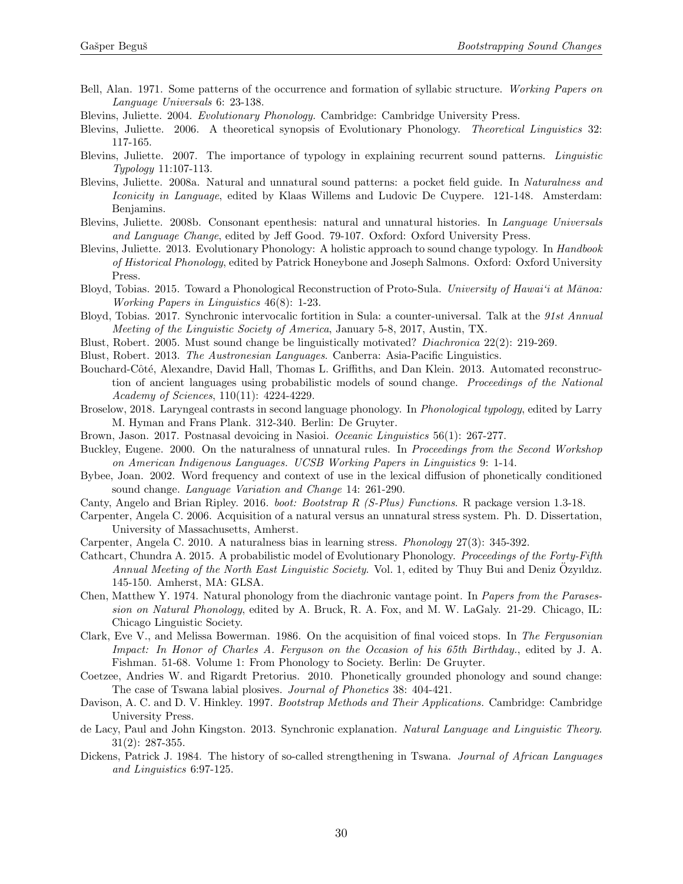- Bell, Alan. 1971. Some patterns of the occurrence and formation of syllabic structure. Working Papers on Language Universals 6: 23-138.
- Blevins, Juliette. 2004. Evolutionary Phonology. Cambridge: Cambridge University Press.
- Blevins, Juliette. 2006. A theoretical synopsis of Evolutionary Phonology. Theoretical Linguistics 32: 117-165.
- Blevins, Juliette. 2007. The importance of typology in explaining recurrent sound patterns. Linguistic Typology 11:107-113.
- Blevins, Juliette. 2008a. Natural and unnatural sound patterns: a pocket field guide. In Naturalness and Iconicity in Language, edited by Klaas Willems and Ludovic De Cuypere. 121-148. Amsterdam: Benjamins.
- Blevins, Juliette. 2008b. Consonant epenthesis: natural and unnatural histories. In Language Universals and Language Change, edited by Jeff Good. 79-107. Oxford: Oxford University Press.
- Blevins, Juliette. 2013. Evolutionary Phonology: A holistic approach to sound change typology. In Handbook of Historical Phonology, edited by Patrick Honeybone and Joseph Salmons. Oxford: Oxford University Press.
- Bloyd, Tobias. 2015. Toward a Phonological Reconstruction of Proto-Sula. University of Hawai'i at Mānoa: Working Papers in Linguistics 46(8): 1-23.
- Bloyd, Tobias. 2017. Synchronic intervocalic fortition in Sula: a counter-universal. Talk at the 91st Annual Meeting of the Linguistic Society of America, January 5-8, 2017, Austin, TX.
- Blust, Robert. 2005. Must sound change be linguistically motivated? Diachronica 22(2): 219-269.
- Blust, Robert. 2013. The Austronesian Languages. Canberra: Asia-Pacific Linguistics.
- Bouchard-Côté, Alexandre, David Hall, Thomas L. Griffiths, and Dan Klein. 2013. Automated reconstruction of ancient languages using probabilistic models of sound change. Proceedings of the National Academy of Sciences, 110(11): 4224-4229.
- Broselow, 2018. Laryngeal contrasts in second language phonology. In Phonological typology, edited by Larry M. Hyman and Frans Plank. 312-340. Berlin: De Gruyter.
- Brown, Jason. 2017. Postnasal devoicing in Nasioi. Oceanic Linguistics 56(1): 267-277.
- Buckley, Eugene. 2000. On the naturalness of unnatural rules. In Proceedings from the Second Workshop on American Indigenous Languages. UCSB Working Papers in Linguistics 9: 1-14.
- Bybee, Joan. 2002. Word frequency and context of use in the lexical diffusion of phonetically conditioned sound change. Language Variation and Change 14: 261-290.
- Canty, Angelo and Brian Ripley. 2016. boot: Bootstrap R (S-Plus) Functions. R package version 1.3-18.
- Carpenter, Angela C. 2006. Acquisition of a natural versus an unnatural stress system. Ph. D. Dissertation, University of Massachusetts, Amherst.
- Carpenter, Angela C. 2010. A naturalness bias in learning stress. Phonology 27(3): 345-392.
- Cathcart, Chundra A. 2015. A probabilistic model of Evolutionary Phonology. Proceedings of the Forty-Fifth Annual Meeting of the North East Linguistic Society. Vol. 1, edited by Thuy Bui and Deniz Ozyıldız. 145-150. Amherst, MA: GLSA.
- Chen, Matthew Y. 1974. Natural phonology from the diachronic vantage point. In Papers from the Parasession on Natural Phonology, edited by A. Bruck, R. A. Fox, and M. W. LaGaly. 21-29. Chicago, IL: Chicago Linguistic Society.
- Clark, Eve V., and Melissa Bowerman. 1986. On the acquisition of final voiced stops. In The Fergusonian Impact: In Honor of Charles A. Ferguson on the Occasion of his 65th Birthday., edited by J. A. Fishman. 51-68. Volume 1: From Phonology to Society. Berlin: De Gruyter.
- Coetzee, Andries W. and Rigardt Pretorius. 2010. Phonetically grounded phonology and sound change: The case of Tswana labial plosives. Journal of Phonetics 38: 404-421.
- Davison, A. C. and D. V. Hinkley. 1997. Bootstrap Methods and Their Applications. Cambridge: Cambridge University Press.
- de Lacy, Paul and John Kingston. 2013. Synchronic explanation. Natural Language and Linguistic Theory. 31(2): 287-355.
- Dickens, Patrick J. 1984. The history of so-called strengthening in Tswana. Journal of African Languages and Linguistics 6:97-125.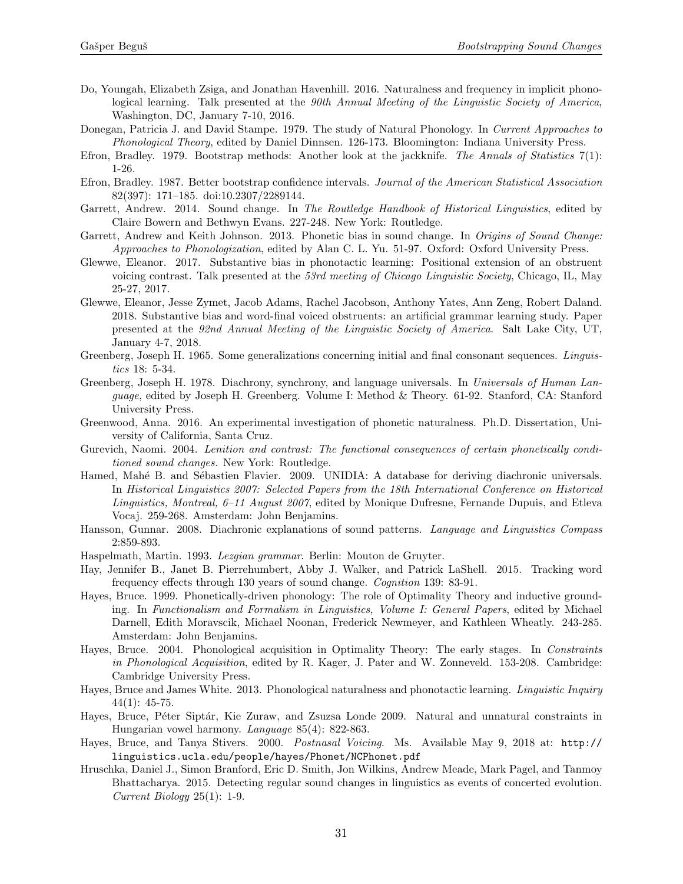- Do, Youngah, Elizabeth Zsiga, and Jonathan Havenhill. 2016. Naturalness and frequency in implicit phonological learning. Talk presented at the 90th Annual Meeting of the Linguistic Society of America, Washington, DC, January 7-10, 2016.
- Donegan, Patricia J. and David Stampe. 1979. The study of Natural Phonology. In Current Approaches to Phonological Theory, edited by Daniel Dinnsen. 126-173. Bloomington: Indiana University Press.
- Efron, Bradley. 1979. Bootstrap methods: Another look at the jackknife. The Annals of Statistics 7(1): 1-26.
- Efron, Bradley. 1987. Better bootstrap confidence intervals. Journal of the American Statistical Association 82(397): 171–185. doi:10.2307/2289144.
- Garrett, Andrew. 2014. Sound change. In The Routledge Handbook of Historical Linguistics, edited by Claire Bowern and Bethwyn Evans. 227-248. New York: Routledge.
- Garrett, Andrew and Keith Johnson. 2013. Phonetic bias in sound change. In *Origins of Sound Change*: Approaches to Phonologization, edited by Alan C. L. Yu. 51-97. Oxford: Oxford University Press.
- Glewwe, Eleanor. 2017. Substantive bias in phonotactic learning: Positional extension of an obstruent voicing contrast. Talk presented at the 53rd meeting of Chicago Linguistic Society, Chicago, IL, May 25-27, 2017.
- Glewwe, Eleanor, Jesse Zymet, Jacob Adams, Rachel Jacobson, Anthony Yates, Ann Zeng, Robert Daland. 2018. Substantive bias and word-final voiced obstruents: an artificial grammar learning study. Paper presented at the 92nd Annual Meeting of the Linguistic Society of America. Salt Lake City, UT, January 4-7, 2018.
- Greenberg, Joseph H. 1965. Some generalizations concerning initial and final consonant sequences. Linguistics 18: 5-34.
- Greenberg, Joseph H. 1978. Diachrony, synchrony, and language universals. In Universals of Human Language, edited by Joseph H. Greenberg. Volume I: Method & Theory. 61-92. Stanford, CA: Stanford University Press.
- Greenwood, Anna. 2016. An experimental investigation of phonetic naturalness. Ph.D. Dissertation, University of California, Santa Cruz.
- Gurevich, Naomi. 2004. Lenition and contrast: The functional consequences of certain phonetically conditioned sound changes. New York: Routledge.
- Hamed, Mahé B. and Sébastien Flavier. 2009. UNIDIA: A database for deriving diachronic universals. In Historical Linguistics 2007: Selected Papers from the 18th International Conference on Historical Linguistics, Montreal, 6–11 August 2007, edited by Monique Dufresne, Fernande Dupuis, and Etleva Vocaj. 259-268. Amsterdam: John Benjamins.
- Hansson, Gunnar. 2008. Diachronic explanations of sound patterns. Language and Linguistics Compass 2:859-893.
- Haspelmath, Martin. 1993. Lezgian grammar. Berlin: Mouton de Gruyter.
- Hay, Jennifer B., Janet B. Pierrehumbert, Abby J. Walker, and Patrick LaShell. 2015. Tracking word frequency effects through 130 years of sound change. Cognition 139: 83-91.
- Hayes, Bruce. 1999. Phonetically-driven phonology: The role of Optimality Theory and inductive grounding. In Functionalism and Formalism in Linguistics, Volume I: General Papers, edited by Michael Darnell, Edith Moravscik, Michael Noonan, Frederick Newmeyer, and Kathleen Wheatly. 243-285. Amsterdam: John Benjamins.
- Hayes, Bruce. 2004. Phonological acquisition in Optimality Theory: The early stages. In Constraints in Phonological Acquisition, edited by R. Kager, J. Pater and W. Zonneveld. 153-208. Cambridge: Cambridge University Press.
- Hayes, Bruce and James White. 2013. Phonological naturalness and phonotactic learning. Linguistic Inquiry  $44(1): 45-75.$
- Hayes, Bruce, Péter Siptár, Kie Zuraw, and Zsuzsa Londe 2009. Natural and unnatural constraints in Hungarian vowel harmony. Language 85(4): 822-863.
- Hayes, Bruce, and Tanya Stivers. 2000. Postnasal Voicing. Ms. Available May 9, 2018 at: [http://](http://linguistics.ucla.edu/people/hayes/Phonet/NCPhonet.pdf) [linguistics.ucla.edu/people/hayes/Phonet/NCPhonet.pdf](http://linguistics.ucla.edu/people/hayes/Phonet/NCPhonet.pdf)
- Hruschka, Daniel J., Simon Branford, Eric D. Smith, Jon Wilkins, Andrew Meade, Mark Pagel, and Tanmoy Bhattacharya. 2015. Detecting regular sound changes in linguistics as events of concerted evolution. Current Biology 25(1): 1-9.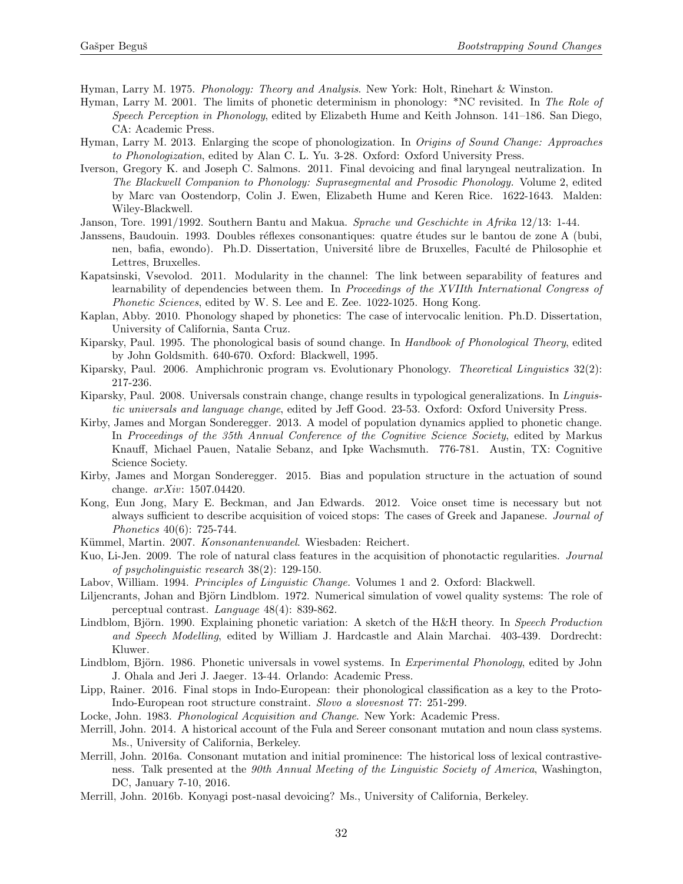Hyman, Larry M. 1975. Phonology: Theory and Analysis. New York: Holt, Rinehart & Winston.

- Hyman, Larry M. 2001. The limits of phonetic determinism in phonology: \*NC revisited. In The Role of Speech Perception in Phonology, edited by Elizabeth Hume and Keith Johnson. 141–186. San Diego, CA: Academic Press.
- Hyman, Larry M. 2013. Enlarging the scope of phonologization. In Origins of Sound Change: Approaches to Phonologization, edited by Alan C. L. Yu. 3-28. Oxford: Oxford University Press.
- Iverson, Gregory K. and Joseph C. Salmons. 2011. Final devoicing and final laryngeal neutralization. In The Blackwell Companion to Phonology: Suprasegmental and Prosodic Phonology. Volume 2, edited by Marc van Oostendorp, Colin J. Ewen, Elizabeth Hume and Keren Rice. 1622-1643. Malden: Wiley-Blackwell.
- Janson, Tore. 1991/1992. Southern Bantu and Makua. Sprache und Geschichte in Afrika 12/13: 1-44.
- Janssens, Baudouin. 1993. Doubles réflexes consonantiques: quatre études sur le bantou de zone A (bubi, nen, bafia, ewondo). Ph.D. Dissertation, Université libre de Bruxelles, Faculté de Philosophie et Lettres, Bruxelles.
- Kapatsinski, Vsevolod. 2011. Modularity in the channel: The link between separability of features and learnability of dependencies between them. In Proceedings of the XVIIth International Congress of Phonetic Sciences, edited by W. S. Lee and E. Zee. 1022-1025. Hong Kong.
- Kaplan, Abby. 2010. Phonology shaped by phonetics: The case of intervocalic lenition. Ph.D. Dissertation, University of California, Santa Cruz.
- Kiparsky, Paul. 1995. The phonological basis of sound change. In Handbook of Phonological Theory, edited by John Goldsmith. 640-670. Oxford: Blackwell, 1995.
- Kiparsky, Paul. 2006. Amphichronic program vs. Evolutionary Phonology. Theoretical Linguistics 32(2): 217-236.
- Kiparsky, Paul. 2008. Universals constrain change, change results in typological generalizations. In Linguistic universals and language change, edited by Jeff Good. 23-53. Oxford: Oxford University Press.
- Kirby, James and Morgan Sonderegger. 2013. A model of population dynamics applied to phonetic change. In Proceedings of the 35th Annual Conference of the Cognitive Science Society, edited by Markus Knauff, Michael Pauen, Natalie Sebanz, and Ipke Wachsmuth. 776-781. Austin, TX: Cognitive Science Society.
- Kirby, James and Morgan Sonderegger. 2015. Bias and population structure in the actuation of sound change. arXiv: 1507.04420.
- Kong, Eun Jong, Mary E. Beckman, and Jan Edwards. 2012. Voice onset time is necessary but not always sufficient to describe acquisition of voiced stops: The cases of Greek and Japanese. Journal of Phonetics 40(6): 725-744.
- Kümmel, Martin. 2007. Konsonantenwandel. Wiesbaden: Reichert.
- Kuo, Li-Jen. 2009. The role of natural class features in the acquisition of phonotactic regularities. Journal of psycholinguistic research 38(2): 129-150.
- Labov, William. 1994. Principles of Linguistic Change. Volumes 1 and 2. Oxford: Blackwell.
- Liljencrants, Johan and Björn Lindblom. 1972. Numerical simulation of vowel quality systems: The role of perceptual contrast. Language 48(4): 839-862.
- Lindblom, Björn. 1990. Explaining phonetic variation: A sketch of the H&H theory. In Speech Production and Speech Modelling, edited by William J. Hardcastle and Alain Marchai. 403-439. Dordrecht: Kluwer.
- Lindblom, Björn. 1986. Phonetic universals in vowel systems. In Experimental Phonology, edited by John J. Ohala and Jeri J. Jaeger. 13-44. Orlando: Academic Press.
- Lipp, Rainer. 2016. Final stops in Indo-European: their phonological classification as a key to the Proto-Indo-European root structure constraint. Slovo a slovesnost 77: 251-299.
- Locke, John. 1983. Phonological Acquisition and Change. New York: Academic Press.
- Merrill, John. 2014. A historical account of the Fula and Sereer consonant mutation and noun class systems. Ms., University of California, Berkeley.
- Merrill, John. 2016a. Consonant mutation and initial prominence: The historical loss of lexical contrastiveness. Talk presented at the 90th Annual Meeting of the Linguistic Society of America, Washington, DC, January 7-10, 2016.
- Merrill, John. 2016b. Konyagi post-nasal devoicing? Ms., University of California, Berkeley.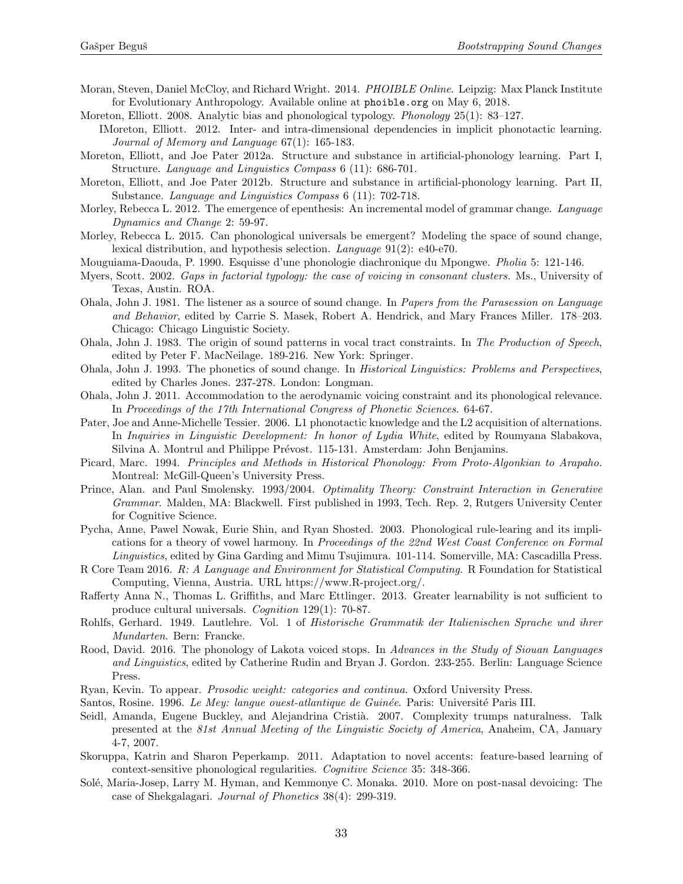- Moran, Steven, Daniel McCloy, and Richard Wright. 2014. PHOIBLE Online. Leipzig: Max Planck Institute for Evolutionary Anthropology. Available online at <phoible.org> on May 6, 2018.
- Moreton, Elliott. 2008. Analytic bias and phonological typology. Phonology 25(1): 83–127.
	- IMoreton, Elliott. 2012. Inter- and intra-dimensional dependencies in implicit phonotactic learning. Journal of Memory and Language 67(1): 165-183.
- Moreton, Elliott, and Joe Pater 2012a. Structure and substance in artificial-phonology learning. Part I, Structure. Language and Linguistics Compass 6 (11): 686-701.
- Moreton, Elliott, and Joe Pater 2012b. Structure and substance in artificial-phonology learning. Part II, Substance. Language and Linguistics Compass 6 (11): 702-718.
- Morley, Rebecca L. 2012. The emergence of epenthesis: An incremental model of grammar change. *Language* Dynamics and Change 2: 59-97.
- Morley, Rebecca L. 2015. Can phonological universals be emergent? Modeling the space of sound change, lexical distribution, and hypothesis selection. Language 91(2): e40-e70.
- Mouguiama-Daouda, P. 1990. Esquisse d'une phonologie diachronique du Mpongwe. Pholia 5: 121-146.
- Myers, Scott. 2002. Gaps in factorial typology: the case of voicing in consonant clusters. Ms., University of Texas, Austin. ROA.
- Ohala, John J. 1981. The listener as a source of sound change. In Papers from the Parasession on Language and Behavior, edited by Carrie S. Masek, Robert A. Hendrick, and Mary Frances Miller. 178–203. Chicago: Chicago Linguistic Society.
- Ohala, John J. 1983. The origin of sound patterns in vocal tract constraints. In The Production of Speech, edited by Peter F. MacNeilage. 189-216. New York: Springer.
- Ohala, John J. 1993. The phonetics of sound change. In Historical Linguistics: Problems and Perspectives, edited by Charles Jones. 237-278. London: Longman.
- Ohala, John J. 2011. Accommodation to the aerodynamic voicing constraint and its phonological relevance. In Proceedings of the 17th International Congress of Phonetic Sciences. 64-67.
- Pater, Joe and Anne-Michelle Tessier. 2006. L1 phonotactic knowledge and the L2 acquisition of alternations. In Inquiries in Linguistic Development: In honor of Lydia White, edited by Roumyana Slabakova, Silvina A. Montrul and Philippe Prévost. 115-131. Amsterdam: John Benjamins.
- Picard, Marc. 1994. Principles and Methods in Historical Phonology: From Proto-Algonkian to Arapaho. Montreal: McGill-Queen's University Press.
- Prince, Alan. and Paul Smolensky. 1993/2004. Optimality Theory: Constraint Interaction in Generative Grammar. Malden, MA: Blackwell. First published in 1993, Tech. Rep. 2, Rutgers University Center for Cognitive Science.
- Pycha, Anne, Pawel Nowak, Eurie Shin, and Ryan Shosted. 2003. Phonological rule-learing and its implications for a theory of vowel harmony. In Proceedings of the 22nd West Coast Conference on Formal Linguistics, edited by Gina Garding and Mimu Tsujimura. 101-114. Somerville, MA: Cascadilla Press.
- R Core Team 2016. R: A Language and Environment for Statistical Computing. R Foundation for Statistical Computing, Vienna, Austria. URL https://www.R-project.org/.
- Rafferty Anna N., Thomas L. Griffiths, and Marc Ettlinger. 2013. Greater learnability is not sufficient to produce cultural universals. Cognition 129(1): 70-87.
- Rohlfs, Gerhard. 1949. Lautlehre. Vol. 1 of Historische Grammatik der Italienischen Sprache und ihrer Mundarten. Bern: Francke.
- Rood, David. 2016. The phonology of Lakota voiced stops. In Advances in the Study of Siouan Languages and Linguistics, edited by Catherine Rudin and Bryan J. Gordon. 233-255. Berlin: Language Science Press.
- Ryan, Kevin. To appear. Prosodic weight: categories and continua. Oxford University Press.
- Santos, Rosine. 1996. Le Mey: langue ouest-atlantique de Guinée. Paris: Université Paris III.
- Seidl, Amanda, Eugene Buckley, and Alejandrina Cristià. 2007. Complexity trumps naturalness. Talk presented at the 81st Annual Meeting of the Linguistic Society of America, Anaheim, CA, January 4-7, 2007.
- Skoruppa, Katrin and Sharon Peperkamp. 2011. Adaptation to novel accents: feature-based learning of context-sensitive phonological regularities. Cognitive Science 35: 348-366.
- Solé, Maria-Josep, Larry M. Hyman, and Kemmonye C. Monaka. 2010. More on post-nasal devoicing: The case of Shekgalagari. Journal of Phonetics 38(4): 299-319.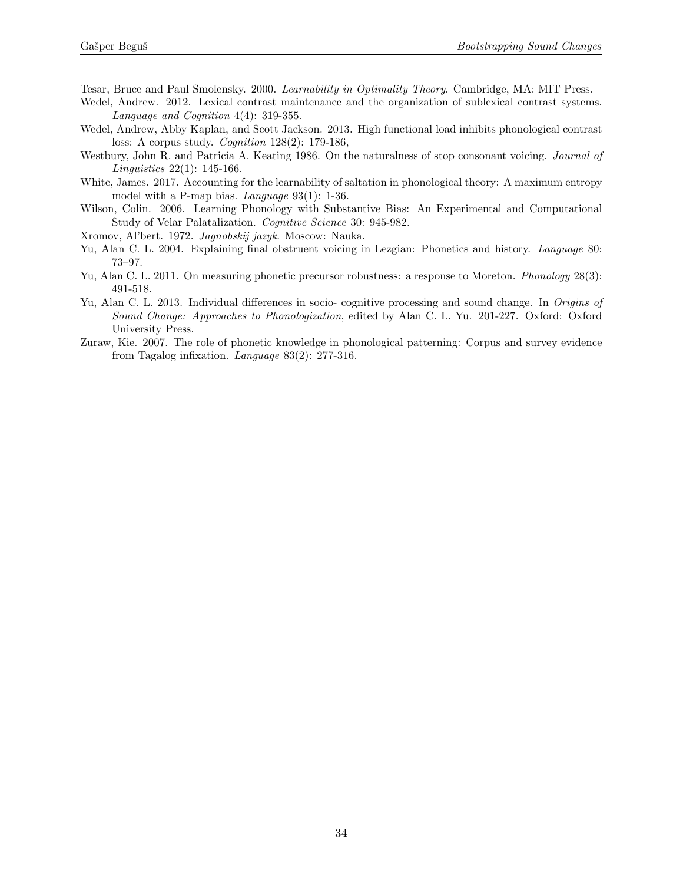Tesar, Bruce and Paul Smolensky. 2000. Learnability in Optimality Theory. Cambridge, MA: MIT Press.

- Wedel, Andrew. 2012. Lexical contrast maintenance and the organization of sublexical contrast systems. Language and Cognition 4(4): 319-355.
- Wedel, Andrew, Abby Kaplan, and Scott Jackson. 2013. High functional load inhibits phonological contrast loss: A corpus study. Cognition 128(2): 179-186,
- Westbury, John R. and Patricia A. Keating 1986. On the naturalness of stop consonant voicing. *Journal of* Linguistics 22(1): 145-166.
- White, James. 2017. Accounting for the learnability of saltation in phonological theory: A maximum entropy model with a P-map bias. Language 93(1): 1-36.
- Wilson, Colin. 2006. Learning Phonology with Substantive Bias: An Experimental and Computational Study of Velar Palatalization. Cognitive Science 30: 945-982.
- Xromov, Al'bert. 1972. Jagnobskij jazyk. Moscow: Nauka.
- Yu, Alan C. L. 2004. Explaining final obstruent voicing in Lezgian: Phonetics and history. Language 80: 73–97.
- Yu, Alan C. L. 2011. On measuring phonetic precursor robustness: a response to Moreton. *Phonology* 28(3): 491-518.
- Yu, Alan C. L. 2013. Individual differences in socio- cognitive processing and sound change. In Origins of Sound Change: Approaches to Phonologization, edited by Alan C. L. Yu. 201-227. Oxford: Oxford University Press.
- Zuraw, Kie. 2007. The role of phonetic knowledge in phonological patterning: Corpus and survey evidence from Tagalog infixation. Language 83(2): 277-316.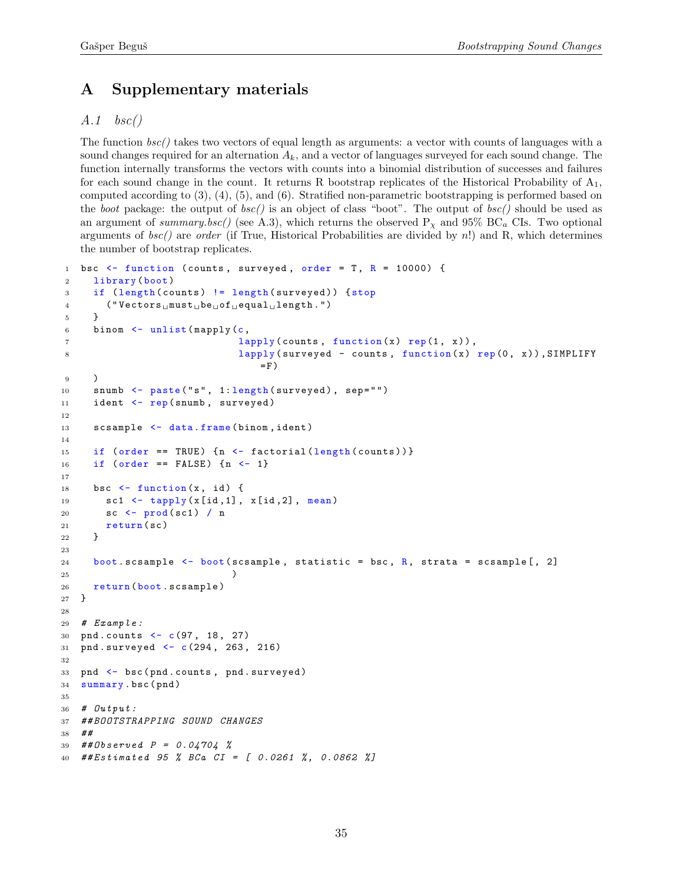# <span id="page-34-0"></span>A Supplementary materials

# <span id="page-34-1"></span> $A.1 \quad bsc()$

The function bsc() takes two vectors of equal length as arguments: a vector with counts of languages with a sound changes required for an alternation  $A_k$ , and a vector of languages surveyed for each sound change. The function internally transforms the vectors with counts into a binomial distribution of successes and failures for each sound change in the count. It returns R bootstrap replicates of the Historical Probability of  $A_1$ , computed according to [\(3\),](#page-9-0) [\(4\),](#page-9-1) [\(5\),](#page-10-0) and [\(6\).](#page-10-1) Stratified non-parametric bootstrapping is performed based on the boot package: the output of  $bsc()$  is an object of class "boot". The output of  $bsc()$  should be used as an argument of summary.bsc() (see [A.3\)](#page-36-0), which returns the observed  $P_x$  and 95% BC<sub>a</sub> CIs. Two optional arguments of  $bsc()$  are order (if True, Historical Probabilities are divided by n!) and R, which determines the number of bootstrap replicates.

```
1 bsc \le function (counts, surveyed, order = T, R = 10000) {
2 library (boot)
3 if ( length ( counts ) != length ( surveyed ) ) { stop
4 ("Vectors\text{unust}_\sqcup \text{be}_\sqcup \text{of}_\sqcup \text{equal}_\sqcup \text{length}.")
5 }
6 binom \leq unlist (mapply (c,7 lapply ( counts, function (x) rep (1, x)),
8 lapply (surveyed - counts, function (x) rep (0, x)), SIMPLIFY
                                 =F)
9 )
10 snumb <- paste ("s", 1: length (surveyed), sep="")
11 ident <- rep(snumb, surveyed)
12
13 scsample <- data.frame(binom, ident)
14
15 if ( order == TRUE) \{n \leq - \text{ factorial}(\text{length}(\text{counts}))\}16 if (order == FALSE) {n < -1}
17
18 bsc \le function (x, id) {
19 sc1 <- tapply (x[id,1], x[id,2], mean)
20 sc <- prod ( sc1 ) / n
21 return (sc)
22 }
23
24 boot scsample \leq boot (scsample, statistic = bsc, R, strata = scsample [, 2]
25 )
26 return ( boot . scsample )
27 }
28
29 # Example:30 pnd . counts <- c(97 , 18 , 27)
31 pnd . surveyed <- c(294 , 263 , 216)
32
33 pnd <- bsc (pnd. counts, pnd. surveyed)
34 summary . bsc ( pnd )
35
36 # Output :
37 ##BOOTSTRAPPING SOUND CHANGES
38 ##
39 ##Observed P = 0.04704 %
40 ##Estimated 95 % BCa CI = [ 0.0261 %, 0.0862 %]
```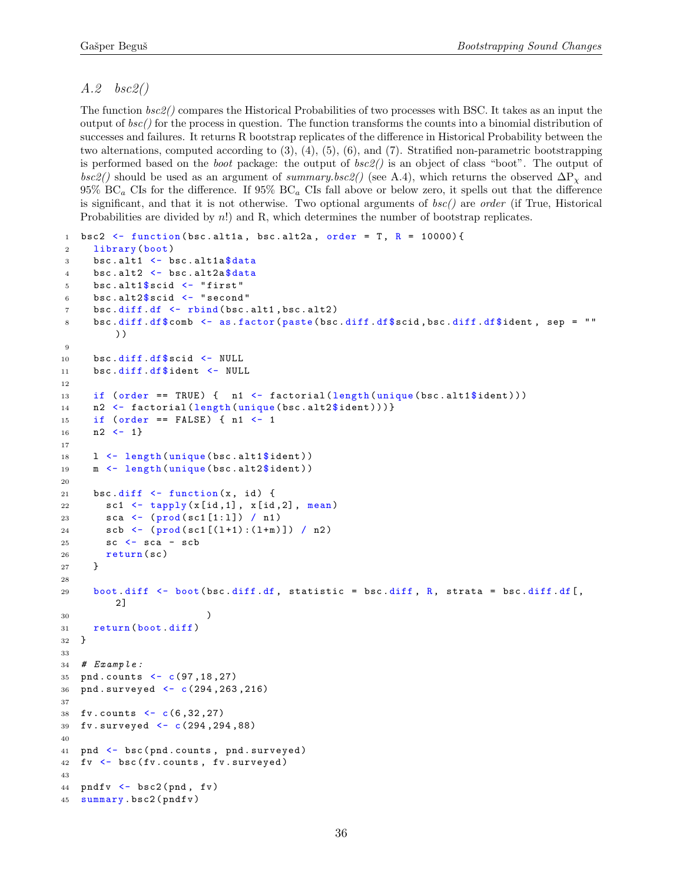### A.2 bsc2()

The function bsc2() compares the Historical Probabilities of two processes with BSC. It takes as an input the output of bsc() for the process in question. The function transforms the counts into a binomial distribution of successes and failures. It returns R bootstrap replicates of the difference in Historical Probability between the two alternations, computed according to [\(3\),](#page-9-0) [\(4\),](#page-9-1) [\(5\),](#page-10-0) [\(6\),](#page-10-1) and [\(7\).](#page-11-4) Stratified non-parametric bootstrapping is performed based on the boot package: the output of bsc2() is an object of class "boot". The output of  $bsc2()$  should be used as an argument of summary.bsc2() (see [A.4\)](#page-36-1), which returns the observed  $\Delta P_X$  and  $95\%$  BC<sub>a</sub> CIs for the difference. If  $95\%$  BC<sub>a</sub> CIs fall above or below zero, it spells out that the difference is significant, and that it is not otherwise. Two optional arguments of  $bsc()$  are order (if True, Historical Probabilities are divided by n!) and R, which determines the number of bootstrap replicates.

```
1 bsc2 \leftarrow function (bsc.alt1a, bsc.alt2a, order = T, R = 10000) {
2 library (boot)
3 bsc. alt1 \leftarrow bsc. alt1a$data
4 bsc.alt2 \leftarrow bsc.alt2a\frac{4}{3}data
5 bsc.alt1$ scid \leq "first"
6 bsc.alt2$scid \leftarrow "second"
7 bsc.diff.df <- rbind(bsc.alt1,bsc.alt2)
8 bsc.diff.df$comb <- as.factor(paste(bsc.diff.df$scid,bsc.diff.df$ident, sep = ""
         ) )
9
10 bsc.diff.df$ scid <- NULL
11 bsc.diff.df$ident <- NULL
12
13 if ( order == TRUE ) { n1 <- factorial (length (unique (bsc.alt1$ident)))
14 n2 <- factorial (length (unique (bsc.alt2$ident))) }
15 if (order == FALSE) { n1 <- 1
16 n2 <- 1}
17
18 1 \leftarrow length (unique (bsc. alt1$ident))
19 m <- length (unique (bsc.alt2$ident))
20
21 bsc.diff \leftarrow function (x, id) {
22 sc1 <- tapply (x[id, 1], x[id, 2], mean)
23 sca <- (prod(sc1[1:1]) / n1)
24 scb <- (prod(sc1[(1+1):(1+m)]) / n2)
25 SC \leq - sca - scb
26 return (sc)
27 }
28
29 boot diff \leq boot (bsc.diff df, statistic = bsc.diff, R, strata = bsc.diff.df[,
         2]
30 )
31 return ( boot . diff )
32 }
33
34 # Example:35 pnd. counts \leftarrow c(97, 18, 27)36 pnd . surveyed <- c (294 ,263 ,216)
37
38 fv . counts <- c (6 ,32 ,27)
39 fv . surveyed <- c (294 ,294 ,88)
40
41 pnd <- bsc (pnd. counts, pnd. surveyed)
42 fv \leftarrow bsc (fv. counts, fv. surveyed)
43
44 pndfv \leftarrow bsc2(pnd, fv)45 summary . bsc2 ( pndfv )
```